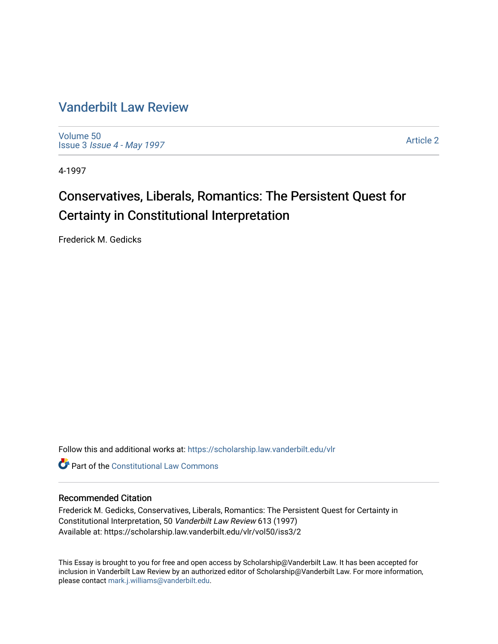### [Vanderbilt Law Review](https://scholarship.law.vanderbilt.edu/vlr)

[Volume 50](https://scholarship.law.vanderbilt.edu/vlr/vol50) Issue 3 [Issue 4 - May 1997](https://scholarship.law.vanderbilt.edu/vlr/vol50/iss3) 

[Article 2](https://scholarship.law.vanderbilt.edu/vlr/vol50/iss3/2) 

4-1997

### Conservatives, Liberals, Romantics: The Persistent Quest for Certainty in Constitutional Interpretation

Frederick M. Gedicks

Follow this and additional works at: [https://scholarship.law.vanderbilt.edu/vlr](https://scholarship.law.vanderbilt.edu/vlr?utm_source=scholarship.law.vanderbilt.edu%2Fvlr%2Fvol50%2Fiss3%2F2&utm_medium=PDF&utm_campaign=PDFCoverPages)

**C** Part of the Constitutional Law Commons

#### Recommended Citation

Frederick M. Gedicks, Conservatives, Liberals, Romantics: The Persistent Quest for Certainty in Constitutional Interpretation, 50 Vanderbilt Law Review 613 (1997) Available at: https://scholarship.law.vanderbilt.edu/vlr/vol50/iss3/2

This Essay is brought to you for free and open access by Scholarship@Vanderbilt Law. It has been accepted for inclusion in Vanderbilt Law Review by an authorized editor of Scholarship@Vanderbilt Law. For more information, please contact [mark.j.williams@vanderbilt.edu.](mailto:mark.j.williams@vanderbilt.edu)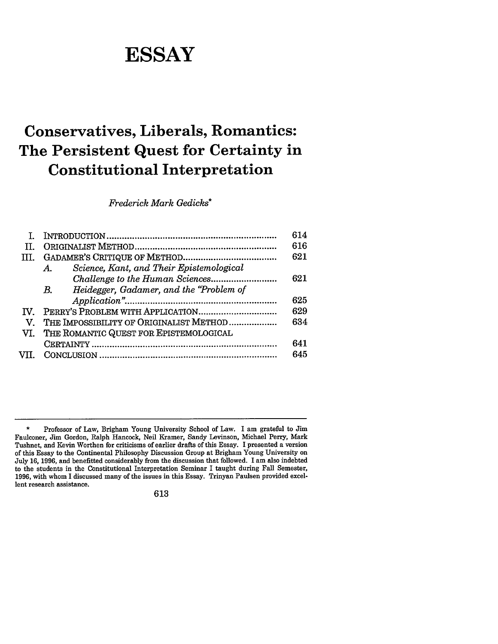# **ESSAY**

## **Conservatives, Liberals, Romantics: The Persistent Quest for Certainty in Constitutional Interpretation**

*Frederick Mark Gedicks\**

|                                                         | 614 |
|---------------------------------------------------------|-----|
|                                                         | 616 |
|                                                         | 621 |
| Science, Kant, and Their Epistemological<br>$A_{\cdot}$ |     |
|                                                         | 621 |
| Heidegger, Gadamer, and the "Problem of<br>В.           |     |
|                                                         | 625 |
|                                                         | 629 |
| THE IMPOSSIBILITY OF ORIGINALIST METHOD                 | 634 |
| VI. THE ROMANTIC QUEST FOR EPISTEMOLOGICAL              |     |
|                                                         | 641 |
|                                                         | 645 |
|                                                         |     |

<sup>\*</sup> Professor of Law, Brigham Young University School of Law. I am grateful to Jim Faulconer, Jim Gordon, Ralph Hancock, Neil Kramer, Sandy Levinson, Michael Perry, Mark Tushnet, and Kevin Worthen for criticisms of earlier drafts of this Essay. I presented a version of this Essay to the Continental Philosophy Discussion Group at Brigham Young University on July 16, 1996, and benefitted considerably from the discussion that followed. I am also indebted to the students in the Constitutional Interpretation Seminar I taught during Fall Semester, 1996, with whom I discussed many of the issues in this Essay. Trinyan Paulsen provided excellent research assistance.

<sup>613</sup>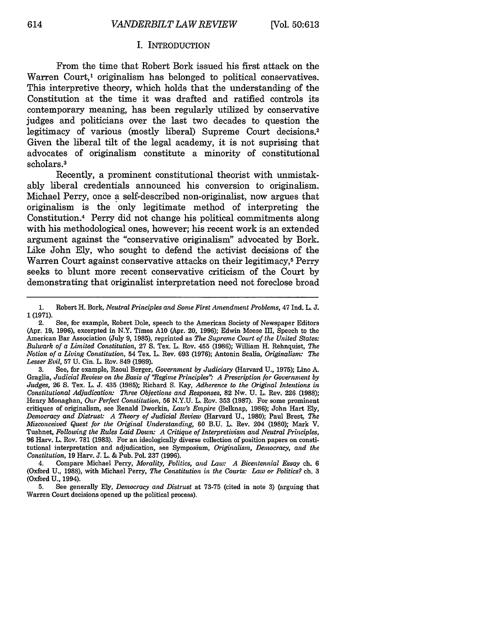#### I. INTRODUCTION

From the time that Robert Bork issued his first attack on the Warren Court,<sup>1</sup> originalism has belonged to political conservatives. This interpretive theory, which holds that the understanding of the Constitution at the time it was drafted and ratified controls its contemporary meaning, has been regularly utilized by conservative judges and politicians over the last two decades to question the legitimacy of various (mostly liberal) Supreme Court decisions.<sup>2</sup> Given the liberal tilt of the legal academy, it is not suprising that advocates of originalism constitute a minority of constitutional scholars.<sup>3</sup>

Recently, a prominent constitutional theorist with unmistakably liberal credentials announced his conversion to originalism. Michael Perry, once a self-described non-originalist, now argues that originalism is the only legitimate method of interpreting the Constitution.4 Perry did not change his political commitments along with his methodological ones, however; his recent work is an extended argument against the "conservative originalism" advocated by Bork. Like John Ely, who sought to defend the activist decisions of the Warren Court against conservative attacks on their legitimacy,<sup>5</sup> Perry seeks to blunt more recent conservative criticism of the Court by demonstrating that originalist interpretation need not foreclose broad

<sup>1.</sup> Robert H. Bork, *Neutral Principles and Some First Amendment Problems,* 47 Ind. L. **J.** 1 (1971).

<sup>2.</sup> See, for example, Robert Dole, speech to the American Society of Newspaper Editors (Apr. 19, 1996), excerpted in N.Y. Times **A10** (Apr. 20, 1996); Edwin Meese III, Speech to the American Bar Association (July 9, 1985), reprinted as *The Supreme Court of the United States: Bulwark of a Limited Constitution,* 27 S. Tex. L. Roy. 455 (1986); William H. Rehnquist, *The Notion of a Living Constitution,* 54 Tex. L. Rev. 693 (1976); Antonin Scalia, *Originalism: The Lesser Evil,* 57 U. Cin. L. Rev. 849 (1989).

<sup>3.</sup> See, for example, Raoul Berger, *Government by Judiciary* (Harvard U., 1975); Lino **A.** Graglia, *Judicial Review on the Basis of 'Regime Principles" A Prescription for Government by Judges,* 26 **S.** Tex. L. J. 435 (1985); Richard S. Kay, *Adherence to the Original Intentions in Constitutional Adjudication: Three Objections and Responses,* 82 Nw. U. L. Rev. 226 (1988); Henry Monaghan, *Our Perfect Constitution*, 56 N.Y.U. L. Rov. 353 (1987). For some prominent critiques of originalism, see Ronald Dworkin, *Law's Empire* (Belknap, 1986); John Hart Ely, *Democracy and Distrust. A Theory of Judicial Review* (Harvard U., 1980); Paul Brest, *The Misconceived Quest for the Original Understanding,* 60 B.U. L. Rev. 204 (1980); Mark V. Tushnet, *Following the Rules Laid Down: A Critique of Interpretivism and Neutral Principles,* 96 Harv. L. Rev. 781 (1983). For an ideologically diverse collection of position papers on constitutional interpretation and adjudication, see Symposium, *Originalism, Democracy, and the Constitution,* 19 Harv. J. L. & Pub. Pol. 237 (1996).

<sup>4.</sup> Compare Michael Perry, *Morality, Politics, and Law: A Bicentennial Essay* ch. 6 (Oxford U., 1988), with Michael Perry, *The Constitution in the Courts: Law or Politics?* ch. 3 (Oxford U., 1994).

**<sup>5.</sup>** See generally Ely, *Democracy and Distrust* at 73-75 (cited in note 3) (arguing that Warren Court decisions opened up the political process).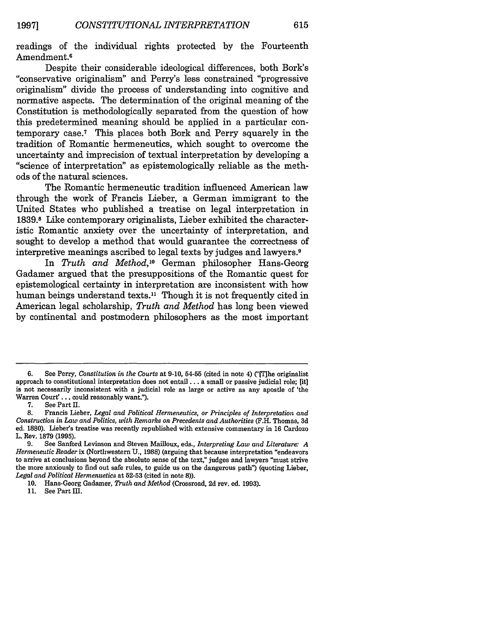readings of the individual rights protected by the Fourteenth Amendment.6

Despite their considerable ideological differences, both Bork's "conservative originalism" and Perry's less constrained "progressive originalism" divide the process of understanding into cognitive and normative aspects. The determination of the original meaning of the Constitution is methodologically separated from the question of how this predetermined meaning should be applied in a particular contemporary case.7 This places both Bork and Perry squarely in the tradition of Romantic hermeneutics, which sought to overcome the uncertainty and imprecision of textual interpretation by developing a "science of interpretation" as epistemologically reliable as the methods of the natural sciences.

The Romantic hermeneutic tradition influenced American law through the work of Francis Lieber, a German immigrant to the United States who published a treatise on legal interpretation in 1839.8 Like contemporary originalists, Lieber exhibited the characteristic Romantic anxiety over the uncertainty of interpretation, and sought to develop a method that would guarantee the correctness of interpretive meanings ascribed to legal texts by judges and lawyers.<sup>9</sup>

In *Truth and Method,1°* German philosopher Hans-Georg Gadamer argued that the presuppositions of the Romantic quest for epistemological certainty in interpretation are inconsistent with how human beings understand texts.<sup>11</sup> Though it is not frequently cited in American legal scholarship, *Truth and Method* has long been viewed by continental and postmodern philosophers as the most important

**11.** See Part **HI.**

<sup>6.</sup> See Perry, *Constitution in the Courts* at 9-10, 54-55 (cited in note 4) ("[The originalist approach to constitutional interpretation does not entail... a small or passive judicial role; [it] is not necessarily inconsistent with a judicial role as large or active as any apostle of 'the Warren Court'... could reasonably want.").

<sup>7.</sup> See Part II.

**<sup>8.</sup>** Francis Lieber, *Legal and Political Hermeneutics, or Principles of Interpretation and Construction in Law and Politics, with Remarks on Precedents and Authorities* (F.H. Thomas, **3d** ed. **1880).** Lieber's treatise was recently republished with extensive commentary in **16** Cardozo L. Rev. **1879 (1995).**

**<sup>9.</sup>** See Sanford Levinson and Steven Mailloux, eds., *Interpreting Law and Literature" A Hermeneutic Reader* ix (Northwestern **U., 1988)** (arguing that because interpretation "endeavors to arrive at conclusions beyond the absolute sense of the text," judges and lawyers "must strive the more anxiously to find out safe rules, to guide us on the dangerous path") (quoting Lieber, *Legal and Political Hermenuetics* at **52-53** (cited in note **8)).**

**<sup>10.</sup>** Hans-Georg Gadamer, *Truth and Method* (Crossroad, **2d** rev. ed. **1993).**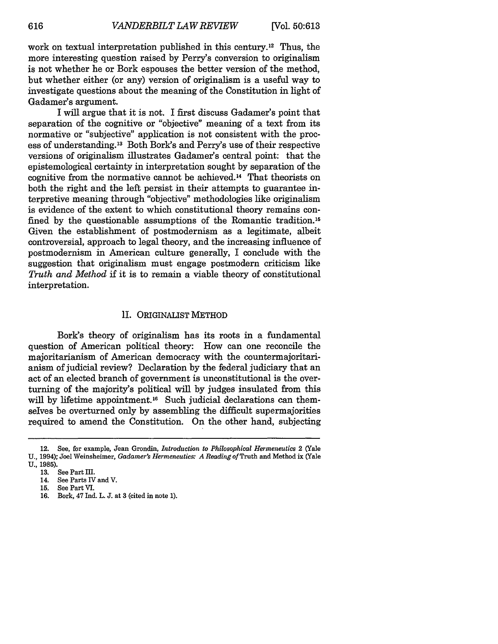work on textual interpretation published in this century.<sup>12</sup> Thus, the more interesting question raised by Perry's conversion to originalism is not whether he or Bork espouses the better version of the method, but whether either (or any) version of originalism is a useful way to investigate questions about the meaning of the Constitution in light of Gadamer's argument.

I will argue that it is not. I first discuss Gadamer's point that separation of the cognitive or "objective" meaning of a text from its normative or "subjective" application is not consistent with the process of understanding.13 Both Bork's and Perry's use of their respective versions of originalism illustrates Gadamer's central point: that the epistemological certainty in interpretation sought by separation of the cognitive from the normative cannot be achieved.14 That theorists on both the right and the left persist in their attempts to guarantee interpretive meaning through "objective" methodologies like originalism is evidence of the extent to which constitutional theory remains confined by the questionable assumptions of the Romantic tradition. <sup>15</sup> Given the establishment of postmodernism as a legitimate, albeit controversial, approach to legal theory, and the increasing influence of postmoderism in American culture generally, I conclude with the suggestion that originalism must engage postmodern criticism like *Truth and Method* if it is to remain a viable theory of constitutional interpretation.

#### II. ORIGINALIST METHOD

Bork's theory of originalism has its roots in a fundamental question of American political theory: How can one reconcile the majoritarianism of American democracy with the countermajoritarianism of judicial review? Declaration by the federal judiciary that an act of an elected branch of government is unconstitutional is the overturning of the majority's political will by judges insulated from this will by lifetime appointment.<sup>16</sup> Such judicial declarations can themselves be overturned only by assembling the difficult supermajorities required to amend the Constitution. On the other hand, subjecting

<sup>12.</sup> See, for example, Jean Grondin, *Introduction to Philosophical Hermeneutics* 2 (Yale U., 1994); Joel Weinsheimer, *Gadamer's Hermeneutics: A Reading of* Truth and Method ix (Yale **U.,** 1985).

<sup>13.</sup> See Part Ill.

<sup>14.</sup> See Parts IV and V.

**<sup>15.</sup>** See Part VI.

<sup>16.</sup> Bork, 47 Ind. L. J. at 3 (cited in note 1).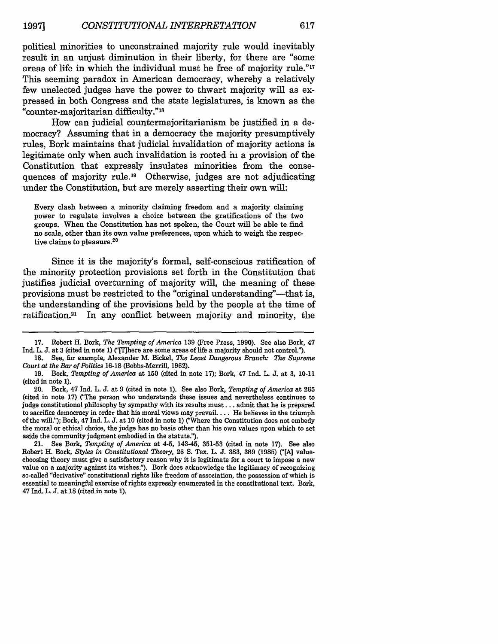political minorities to unconstrained majority rule would inevitably result in an unjust diminution in their liberty, for there are "some areas of life in which the individual must be free of majority rule."'17 This seeming paradox in American democracy, whereby a relatively few unelected judges have the power to thwart majority will as expressed in both Congress and the state legislatures, is known as the "counter-majoritarian difficulty."18

How can judicial countermajoritarianism be justified in a democracy? Assuming that in a democracy the majority presumptively rules, Bork maintains that judicial invalidation of majority actions is legitimate only when such invalidation is rooted in a provision of the Constitution that expressly insulates minorities from the consequences of majority rule.<sup>19</sup> Otherwise, judges are not adjudicating under the Constitution, but are merely asserting their own will:

Every clash between a minority claiming freedom and a majority claiming power to regulate involves a choice between the gratifications of the two groups. When the Constitution has not spoken, the Court will be able to **find** no scale, other than its own value preferences, upon which to weigh the respective claims to pleasure.<sup>20</sup>

Since it is the majority's formal, self-conscious ratification of the minority protection provisions set forth in the Constitution that justifies judicial overturning of majority will, the meaning of these provisions must be restricted to the "original understanding"—that is, the understanding of the provisions held by the people at the time of ratification.<sup>21</sup> In any conflict between majority and minority, the

<sup>17.</sup> Robert H. Bork, *The Tempting of America* 139 (Free Press, 1990). See also Bork, 47 Ind. L. J. at 3 (cited in note 1) ("[T]here are some areas of life a majority should not control.").

<sup>18.</sup> See, for example, Alexander M. Bickel, *The Least Dangerous Branch: The Supreme Court at the Bar of Politics* **16-18** (Bobbs-Merrill, 1962).

<sup>19.</sup> Bork, *Tempting of America* at **150** (cited in note 17); Bork, 47 Ind. L. J. at 3, 10-11 (cited in note 1).

<sup>20.</sup> Bork, 47 Ind. L. J. at 9 (cited in note 1). See also Bork, *Tempting of America* at 265 (cited in note 17) ("The person who understands these issues and nevertheless continues to judge constitutional philosophy by sympathy with its results must. **..** admit that he is prepared to sacrifice democracy in order that his moral views may prevail.... He believes in the triumph of the will."); Bork, 47 Ind. L. **J.** at **10** (cited in note 1) ("Where the Constitution does not embody the moral or ethical choice, the judge has no basis other than his own values upon which **to** set aside the community judgment embodied in the statute.").

<sup>21.</sup> See Bork, *Tempting of America* at 4-5, 143-45, 351-53 (cited in note 17). See also Robert H. Bork, *Styles in Constitutional Theory*, 26 S. Tex. L. J. 383, 389 (1985) ("[A] valuechoosing theory must give a satisfactory reason why it is legitimate for a court to impose a new value on a majority against its wishes."). Bork does acknowledge the legitimacy of recognizing so-called "derivative" constitutional rights like freedom of association, the possession of which is essential to meaningful exercise of rights expressly enumerated in the constitutional text. Bork, 47 Ind. L. **J.** at **18** (cited in note 1).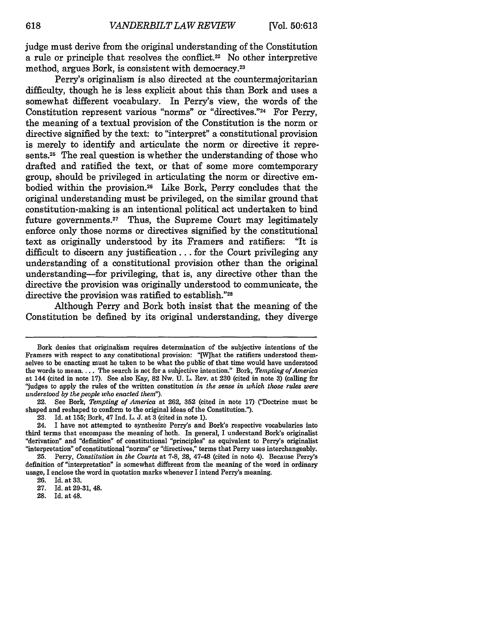judge must derive from the original understanding of the Constitution a rule or principle that resolves the conflict.22 No other interpretive method, argues Bork, is consistent with democracy.23

Perry's originalism is also directed at the countermajoritarian difficulty, though he is less explicit about this than Bork and uses a somewhat different vocabulary. In Perry's view, the words of the Constitution represent various "norms" or "directives."24 For Perry, the meaning of a textual provision of the Constitution is the norm or directive signified by the text: to "interpret" a constitutional provision is merely to identify and articulate the norm or directive it represents.<sup>25</sup> The real question is whether the understanding of those who drafted and ratified the text, or that of some more comtemporary group, should be privileged in articulating the norm or directive embodied within the provision.<sup>26</sup> Like Bork, Perry concludes that the original understanding must be privileged, on the similar ground that constitution-making is an intentional political act undertaken to bind future governments.27 Thus, the Supreme Court may legitimately enforce only those norms or directives signified by the constitutional text as originally understood by its Framers and ratifiers: "It is difficult to discern any justification... for the Court privileging any understanding of a constitutional provision other than the original understanding-for privileging, that is, any directive other than the directive the provision was originally understood to communicate, the directive the provision was ratified to establish."28

Although Perry and Bork both insist that the meaning of the Constitution be defined by its original understanding, they diverge

28. Id. at 48.

Bork denies that originalism requires determination of the subjective intentions of the Framers with respect to any constitutional provision: "[W]hat the ratifiers understood themselves to be enacting must be taken to be what the public of that time would have understood the words to mean.... The search is not for a subjective intention' Bork, *Tempting of America* at 144 (cited in note 17). See also Kay, 82 Nw. U. L. Rev. at 230 (cited in note 3) (calling for "judges to apply the rules of the written constitution *in the sense in which those rules were understood by the people who enacted them").*

<sup>22.</sup> See Bork, *Tempting of America* at 262, 352 (cited in note **17)** ("Doctrine must be shaped and reshaped to conform to the original ideas of the Constitution.").

<sup>23.</sup> Id. at 155; Bork, 47 Ind. L. J. at 3 (cited in note 1).

<sup>24.</sup> I have not attempted to synthesize Perry's and Bork's respective vocabularies into third terms that encompass the meaning of both. In general, I understand Bork's originalist "derivation" and "definition" of constitutional "principles" as equivalent to Perry's originalist "interpretation" of constitutional "norms" or "directives," terms that Perry uses interchangeably.

**<sup>25.</sup>** Perry, *Constitution in the Courts* at **7-8,** 28, 47-48 (cited in note 4). Because Perry's definition of "interpretation" is somewhat different from the meaning of the word in ordinary usage, I enclose the word in quotation marks whenever I intend Perry's meaning.

<sup>26.</sup> Id. at 33.

<sup>27.</sup> Id. at 29-31, 48.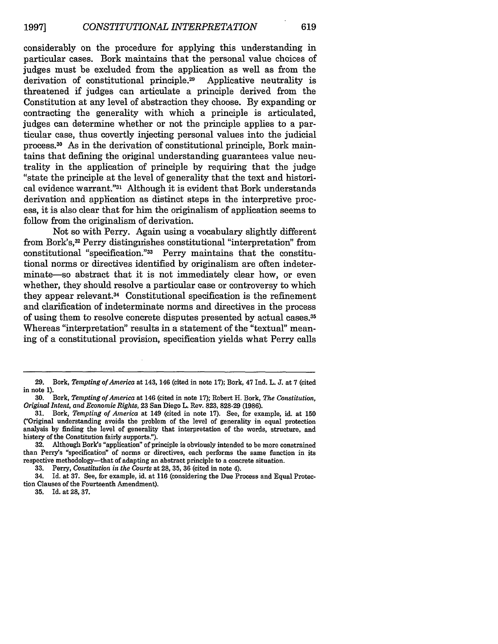considerably on the procedure for applying this understanding in particular cases. Bork maintains that the personal value choices of judges must be excluded from the application as well as from the derivation of constitutional principle.29 Applicative neutrality is threatened if judges can articulate a principle derived from the Constitution at any level of abstraction they choose. By expanding or contracting the generality with which a principle is articulated, judges can determine whether or not the principle applies to a particular case, thus covertly injecting personal values into the judicial process. 30 As in the derivation of constitutional principle, Bork maintains that defining the original understanding guarantees value neutrality in the application of principle by requiring that the judge "state the principle at the level of generality that the text and historical evidence warrant."<sup>31</sup> Although it is evident that Bork understands derivation and application as distinct steps in the interpretive process, it is also clear that for him the originalism of application seems to follow from the originalism of derivation.

Not so with Perry. Again using a vocabulary slightly different from Bork's, 32 Perry distinguishes constitutional "interpretation" from constitutional "specification."33 Perry maintains that the constitutional norms or directives identified by originalism are often indeterminate—so abstract that it is not immediately clear how, or even whether, they should resolve a particular case or controversy to which they appear relevant.<sup>34</sup> Constitutional specification is the refinement and clarification of indeterminate norms and directives in the process of using them to resolve concrete disputes presented by actual cases.<sup>35</sup> Whereas "interpretation" results in a statement of the "textual" meaning of a constitutional provision, specification yields what Perry calls

**33.** Perry, *Constitution in the Courts* at **28, 35, 36** (cited in note 4).

34. Id. at 37. See, for example, id. at 116 (considering the Due Process and Equal Protection Clauses of the Fourteenth Amendment).

**35.** Id. at 28, 37.

<sup>29.</sup> Bork, *Tempting of America* at 143, 146 (cited in note 17); Bork, 47 Ind. L. J. at 7 (cited in note 1).

<sup>30.</sup> Bork, *Tempting of America* at 146 (cited in note 17); Robert H. Bork, *The Constitution, Original Intent, and Economic Rights,* 23 San Diego L. Rev. 823, 828-29 (1986).

<sup>31.</sup> Bork, *Tempting of America* at 149 (cited in note 17). See, for example, id. at **150** ('Original understanding avoids the problem of the level of generality in equal protection analysis by finding the level of generality that interpretation of the words, structure, and histery of the Constitution fairly supports.").

<sup>32.</sup> Although Bork's "application" of principle is obviously intended to be more constrained than Perry's "specification" of norms or directives, each performs the same function in its respective methodology-that of adapting an abstract principle to a concrete situation.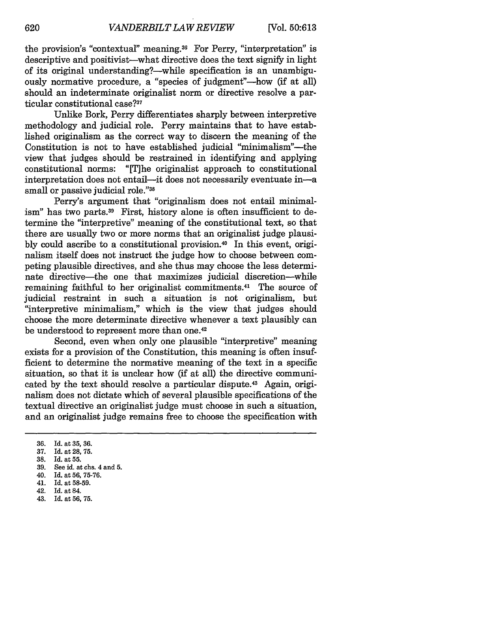the provision's "contextual" meaning.36 For Perry, "interpretation" is descriptive and positivist-what directive does the text signify in light of its original understanding?—while specification is an unambiguously normative procedure, a "species of judgment"—how (if at all) should an indeterminate originalist norm or directive resolve a particular constitutional case?<sup>37</sup>

Unlike Bork, Perry differentiates sharply between interpretive methodology and judicial role. Perry maintains that to have established originalism as the correct way to discern the meaning of the Constitution is not to have established judicial "minimalism"—the view that judges should be restrained in identifying and applying constitutional norms: "[T]he originalist approach to constitutional interpretation does not entail-it does not necessarily eventuate in-a small or passive judicial role."38

Perry's argument that "originalism does not entail minimalism" has two parts.<sup>39</sup> First, history alone is often insufficient to determine the "interpretive" meaning of the constitutional text, so that there are usually two or more norms that an originalist judge plausibly could ascribe to a constitutional provision.40 In this event, originalism itself does not instruct the judge how to choose between competing plausible directives, and she thus may choose the less determinate directive-the one that maximizes judicial discretion-while remaining faithful to her originalist commitments.<sup>41</sup> The source of judicial restraint in such a situation is not originalism, but "interpretive minimalism," which is the view that judges should choose the more determinate directive whenever a text plausibly can be understood to represent more than one.<sup>42</sup>

Second, even when only one plausible "interpretive" meaning exists for a provision of the Constitution, this meaning is often insufficient to determine the normative meaning of the text in a specific situation, so that it is unclear how (if at all) the directive communicated by the text should resolve a particular dispute.<sup>43</sup> Again, originalism does not dictate which of several plausible specifications of the textual directive an originalist judge must choose in such a situation, and an originalist judge remains free to choose the specification with

- 37. Id. at 28, 75.
- 38. Id. at **55.**
- See id. at chs. 4 and 5.
- 40. Id. at **56,** 75-76.
- 41. Id. at 58-59. 42. Id. at 84.
- 
- 43. Id. at **56, 75.**

<sup>36.</sup> Id. at **35,** 36.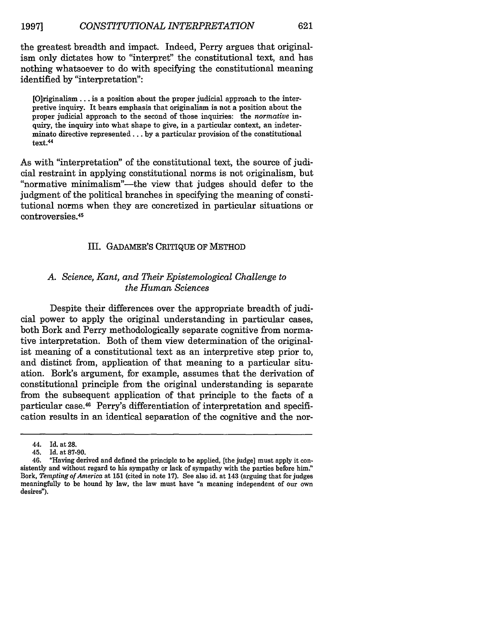the greatest breadth and impact. Indeed, Perry argues that originalism only dictates how to "interpret" the constitutional text, and has nothing whatsoever to do with specifying the constitutional meaning identified by "interpretation":

[O]riginaism... is a position about the proper judicial approach to the interpretive inquiry. It bears emphasis that originalism is not a position about the proper judicial approach to the second of those inquiries: the *normative* inquiry, the inquiry into what shape to give, in a particular context, an indeterminate directive represented... by a particular provision of the constitutional text.<sup>44</sup>

As with "interpretation" of the constitutional text, the source of judicial restraint in applying constitutional norms is not originalism, but "normative minimalism"-the view that judges should defer to the judgment of the political branches in specifying the meaning of constitutional norms when they are concretized in particular situations or controversies. <sup>45</sup>

#### III. GADAMER'S CRITIQUE OF METHOD

#### *A. Science, Kant, and Their Epistemological Challenge to the Human Sciences*

Despite their differences over the appropriate breadth of judicial power to apply the original understanding in particular cases, both Bork and Perry methodologically separate cognitive from normative interpretation. Both of them view determination of the originalist meaning of a constitutional text as an interpretive step prior to, and distinct from, application of that meaning to a particular situation. Bork's argument, for example, assumes that the derivation of constitutional principle from the original understanding is separate from the subsequent application of that principle to the facts of a particular case.<sup>46</sup> Perry's differentiation of interpretation and specification results in an identical separation of the cognitive and the nor-

<sup>44.</sup> Id. at 28.

<sup>45.</sup> Id. at 87-90.

<sup>46. &</sup>quot;Having derived and defined the principle to be applied, [the judge] must apply it consistently and without regard to his sympathy or lack of sympathy with the parties before him." Bork, *Tempting of America* at 151 (cited in note 17). See also id. at 143 (arguing that for judges meaningfully to be bound by law, the law must have "a meaning independent of our own desires").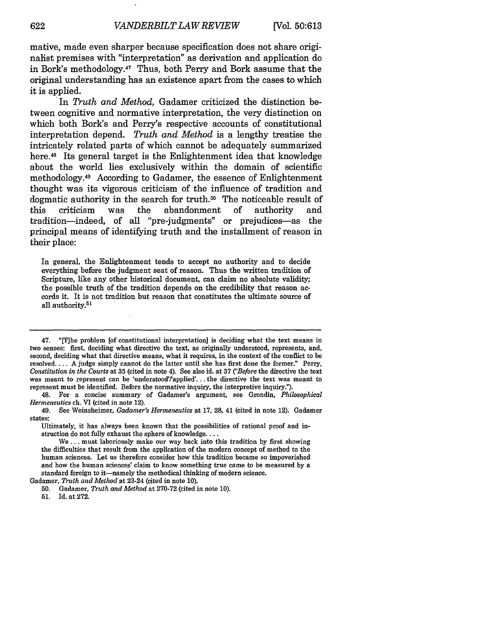mative, made even sharper because specification does not share originalist premises with "interpretation" as derivation and application do in Bork's methodology.47 Thus, both Perry and Bork assume that the original understanding has an existence apart from the cases to which it is applied.

In *Truth and Method,* Gadamer criticized the distinction between cognitive and normative interpretation, the very distinction on which both Bork's and Perry's respective accounts of constitutional interpretation depend. *Truth and Method* is a lengthy treatise the intricately related parts of which cannot be adequately summarized here.<sup>48</sup> Its general target is the Enlightenment idea that knowledge about the world lies exclusively within the domain of scientific methodology.49 According to Gadamer, the essence of Enlightenment thought was its vigorous criticism of the influence of tradition and dogmatic authority in the search for truth.50 The noticeable result of this criticism was the abandonment of authority and tradition-indeed, of all "pre-judgments" or prejudices-as the principal means of identifying truth and the installment of reason in their place:

In general, the Enlightenment tends to accept no authority and to decide everything before the judgment seat of reason. Thus the written tradition of Scripture, like any other historical document, can claim no absolute validity; the possible truth of the tradition depends on the credibility that reason accords it. It is not tradition but reason that constitutes the ultimate source of all authority.<sup>51</sup>

48. For a concise summary of Gadamer's argument, see Grondin, *Philosophical Hermeneutics* ch. VI (cited in note 12).

49. See Weinsheimer, *Gadamer's Hermeneutics* at 17, 28, 41 (cited in note 12). Gadamer states:

Ultimately, it has always been known that the possibilities of rational proof and instruction do not fully exhaust the sphere of knowledge....

Gadamer, *Truth and Method* at 23-24 (cited in note 10).

<sup>47. &</sup>quot;[T]he problem [of constitutional interpretation] is deciding what the text means in two senses: first, deciding what directive the text, as originally understood, represents, and, second, deciding what that directive means, what it requires, in the context of the conflict to be resolved.... A judge simply cannot do the latter until she has first done the former." Perry, *Constitution in the Courts* at 35 (cited in note 4). See also id. at 37 *("Before* the directive the text was meant to represent can be 'understood'rapplied'... the directive the text was meant to represent must be identified. Before the normative inquiry, the interpretive inquiry.").

We... must laboriously make our way back into this tradition by first showing the difficulties that result from the application of the modern concept of method to the human sciences. Let us therefore consider how this tradition became so impoverished and how the human sciences' claim to know something true came to be measured by a standard foreign to it-namely the methodical thinking of modern science.

<sup>50.</sup> Gadamer, *Truth and Method* at 270-72 (cited in note 10).

<sup>51.</sup> Id. at 272.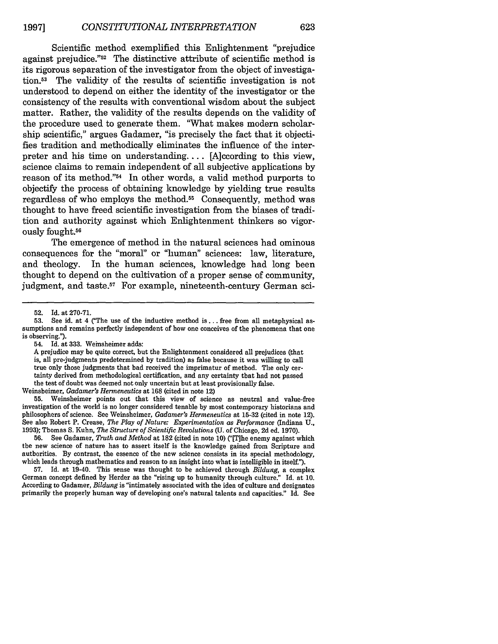Scientific method exemplified this Enlightenment "prejudice against prejudice."52 The distinctive attribute of scientific method is its rigorous separation of the investigator from the object of investigation.53 The validity of the results of scientific investigation is not understood to depend on either the identity of the investigator or the consistency of the results with conventional wisdom about the subject matter. Rather, the validity of the results depends on the validity of the procedure used to generate them. "What makes modern scholarship scientific," argues Gadamer, "is precisely the fact that it objectifies tradition and methodically eliminates the influence of the interpreter and his time on understanding.... [A]ccording to this view, science claims to remain independent of all subjective applications by reason of its method."54 In other words, a valid method purports to objectify the process of obtaining knowledge by yielding true results regardless of who employs the method.<sup>55</sup> Consequently, method was thought to have freed scientific investigation from the biases of tradition and authority against which Enlightenment thinkers so vigorously fought.<sup>56</sup>

The emergence of method in the natural sciences had ominous consequences for the "moral" or "human" sciences: law, literature, and theology. In the human sciences, knowledge had long been thought to depend on the cultivation of a proper sense of community, judgment, and taste.<sup>57</sup> For example, nineteenth-century German sci-

Weinsheimer, *Gadamer's Hermieneutics* at 168 (cited in note 12)

55. Weinsheimer points out that this view of science as neutral and value-free investigation of the world is no longer considered tenable by most contemporary historians and philosophers of science. See Weinsheimer, *Gadamer's Hermeneutics* at 15-32 (cited in note 12). See also Robert P. Crease, *The Play of Nature: Experimentation as Performance* (Indiana U., 1993); Thomas S. Kuhn, *The Structure of Scientific Revolutions (U.* of Chicago, 2d ed. 1970).

56. See Gadamer, *Truth and Method* at 182 (cited in note 10) ("[T]he enemy against which the new science of nature has to assert itself is the knowledge gained from Scripture and authorities. By contrast, the essence of the new science consists in its special methodology, which leads through mathematics and reason to an insight into what is intelligible in itself.").

57. Id. at 19-40. This sense was thought to be achieved through *Bildung,* a complex German concept defined by Herder as the "rising up to humanity through culture." Id. at 10. According to Gadamer, *Bildung* is "intimately associated with the idea of culture and designates primarily the properly human way of developing one's natural talents and capacities." Id. See

<sup>52.</sup> Id. at 270-71.

<sup>53.</sup> See id. at 4 ("The use of the inductive method is **...** free from all metaphysical assumptions and remains perfectly independent of how one conceives of the phenomena that one is observing.").

<sup>54.</sup> Id. at 333. Weinsheimer adds:

A prejudice may be quite correct, but the Enlightenment considered all prejudices (that is, all pre-judgments predetermined by tradition) as false because it was willing to call true only those judgments that had received the imprimatur of method. The only certainty derived from methodological certification, and any certainty that had not passed the test of doubt was deemed not only uncertain but at least provisionally false.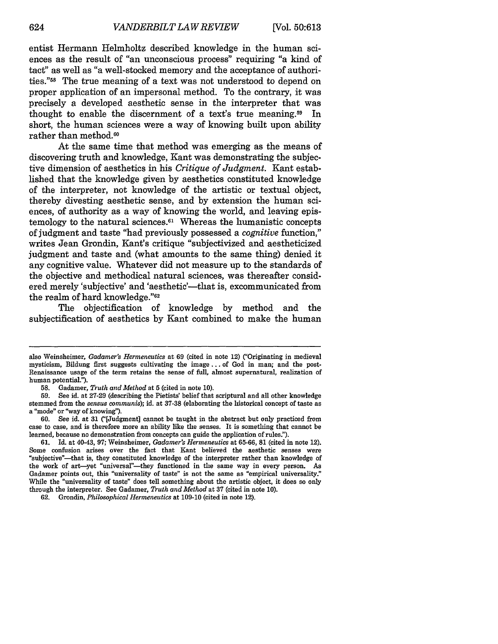entist Hermann Helmholtz described knowledge in the human sciences as the result of "an unconscious process" requiring "a kind of tact" as well as "a well-stocked memory and the acceptance of authorities."58 The true meaning of a text was not understood to depend on proper application of an impersonal method. To the contrary, it was precisely a developed aesthetic sense in the interpreter that was thought to enable the discernment of a text's true meaning.59 In short, the human sciences were a way of knowing built upon ability rather than method.<sup>60</sup>

At the same time that method was emerging as the means of discovering truth and knowledge, Kant was demonstrating the subjective dimension of aesthetics in his *Critique of Judgment.* Kant established that the knowledge given by aesthetics constituted knowledge of the interpreter, not knowledge of the artistic or textual object, thereby divesting aesthetic sense, and by extension the human sciences, of authority as a way of knowing the world, and leaving epistemology to the natural sciences. $61$  Whereas the humanistic concepts of judgment and taste "had previously possessed a *cognitive* function," writes Jean Grondin, Kant's critique "subjectivized and aestheticized judgment and taste and (what amounts to the same thing) denied it any cognitive value. Whatever did not measure up to the standards of the objective and methodical natural sciences, was thereafter considered merely 'subjective' and 'aesthetic'—that is, excommunicated from the realm of hard knowledge."62

The objectification of knowledge by method and the subjectification of aesthetics by Kant combined to make the human

also Weinsheimer, *Gadamer's Hermeneutics* at 69 (cited in note 12) ('Originating in medieval mysticism, Bildung first suggests cultivating the image... of God in man; and the post-Renaissance usage of the term retains the sense of full, almost supernatural, realization of human potential.").

**<sup>58.</sup>** Gadamer, *Truth* and *Method* at **5** (cited in note 10).

**<sup>59.</sup>** See id. at 27-29 (describing the Pietists' belief that scriptural and all other knowledge stemmed from the *sensus communis);* id. at 37-38 (elaborating the historical concept of taste as a "mode" or "way of knowing").

<sup>60.</sup> See id. at 31 ("[Judgment] cannot be taught in the abstract but only practiced from case to case, and is therefore more an ability like the senses. It is something that cannot be learned, because no demonstration from concepts can guide the application of rules.").

<sup>61.</sup> Id. at 40-43, 97; Weinsheimer, *Gadamer's Hermeneutics* at 65-66, **81** (cited in note 12). Some confusion arises over the fact that Kant believed the aesthetic senses were "subjective"—that is, they constituted knowledge of the interpreter rather than knowledge of the work of art—yet "universal"—they functioned in the same way in every person. As Gadamer points out, this "universality of taste" is not the same as "empirical universality." While the "universality of taste" does tell something about the artistic object, it does so only through the interpreter. See Gadamer, *Truth and Method* at 37 (cited in note 10).

<sup>62.</sup> Grondin, *Philosophical Hermeneutics* at 109-10 (cited in note 12).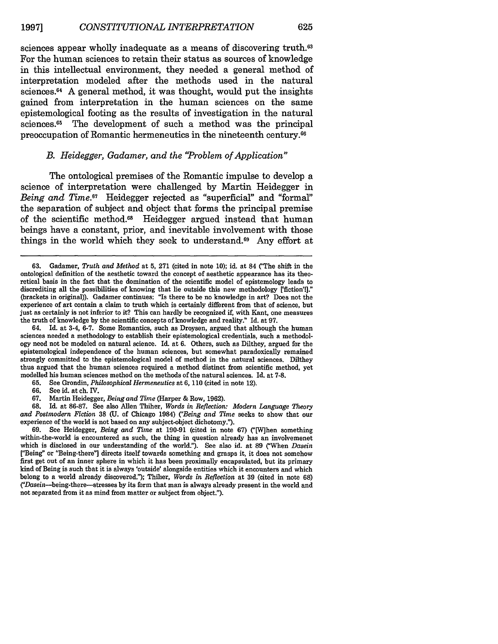sciences appear wholly inadequate as a means of discovering truth.<sup>63</sup> For the human sciences to retain their status as sources of knowledge in this intellectual environment, they needed a general method of interpretation modeled after the methods used in the natural sciences. 64 A general method, it was thought, would put the insights gained from interpretation in the human sciences on the same epistemological footing as the results of investigation in the natural sciences.<sup>65</sup> The development of such a method was the principal preoccupation of Romantic hermeneutics in the nineteenth century. <sup>66</sup>

#### *B. Heidegger, Gadamer, and the "Problem of Application"*

The ontological premises of the Romantic impulse to develop a science of interpretation were challenged by Martin Heidegger in *Being and Time.*<sup>67</sup> Heidegger rejected as "superficial" and "formal" the separation of subject and object that forms the principal premise of the scientific method.68 Heidegger argued instead that human beings have a constant, prior, and inevitable involvement with those things in the world which they seek to understand.<sup>69</sup> Any effort at

64. Id. at 3-4, 6-7. Some Romantics, such as Droysen, argued that although the human sciences needed a methodology to establish their epistemological credentials, such a methodology need not be modeled on natural science. Id. at 6. Others, such as Dilthey, argued for the epistemological independence of the human sciences, but somewhat paradoxically remained strongly committed to the epistemological model of method in the natural sciences. Dilthey thus argued that the human sciences required a method distinct from scientific method, yet modelled his human sciences method on the methods of the natural sciences. Id. at 7-8.<br>65. See Grondin. *Philosophical Hermeneutics* at 6.110 (cited in note 12).

**66.** See id. at ch. IV.

**68.** Id. at 86-87. See also Allen Thiher, *Words in Reflection: Modern Language Theory and Postrnodern Fiction* **38 (U.** of Chicago 1984) *("Being and Time* seeks to show that our experience of the world is not based on any subject-object dichotomy.").

69. See Heidegger, *Being and Time* at 190-91 (cited in note 67) ("[When something within-the-world is encountered as such, the thing in question already has an involvemenet which is disclosed in our understanding of the world"). See also id. at 89 ("When *Dasein* ['Being" or "Being-there"] directs itself towards something and grasps it, it does not somehow first get out of an inner sphere in which it has been proximally encapsulated, but its primary kind of Being is such that it is always 'outside' alongside entities which it encounters and which belong to a world already discovered."); Thiher, *Words in Reflection* at 39 (cited in note 68) ('Dasein-being-there-stresses by its form that man is always already present in the world and not separated from it as mind from matter or subject from object.").

<sup>63.</sup> Gadamer, *Truth and Method* at **5,** 271 (cited in note 10); id. at 84 ("The shift in the ontological definition of the aesthetic toward the concept of aesthetic appearance has its theoretical basis in the fact that the domination of the scientific model of epistemology leads to discrediting all the possibilities of knowing that lie outside this new methodology ['fiction'!]." (brackets in original)). Gadamer continues: "Is there to be no knowledge in art? Does not the experience of art contain a claim to truth which is certainly different from that of science, but just as certainly is not inferior to it? This can hardly be recognized if, with Kant, one measures the truth of knowledge by the scientific concepts of knowledge and reality." Id. at 97.

**<sup>65.</sup>** See Grondin, *Philosophical Hermeneutics* at **6,** 110 (cited in note 12).

**<sup>67.</sup>** Martin Heidegger, *Being and Time* (Harper **&** Row, **1962).**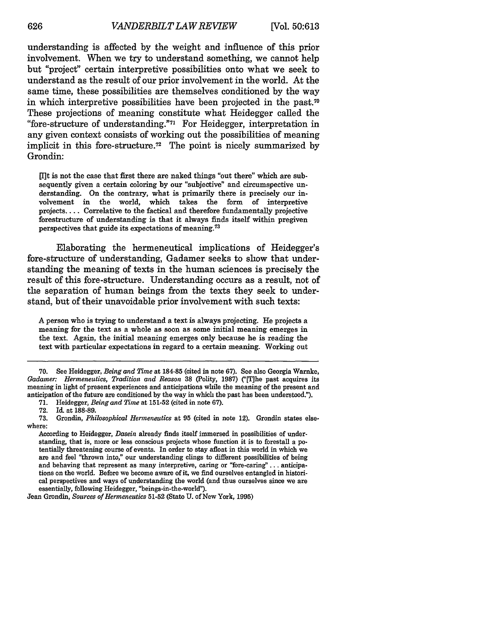understanding is affected by the weight and influence of this prior involvement. When we try to understand something, we cannot help but "project" certain interpretive possibilities onto what we seek to understand as the result of our prior involvement in the world. At the same time, these possibilities are themselves conditioned by the way in which interpretive possibilities have been projected in the past.<sup>70</sup> These projections of meaning constitute what Heidegger called the "fore-structure of understanding."7 For Heidegger, interpretation in any given context consists of working out the possibilities of meaning implicit in this fore-structure.<sup>72</sup> The point is nicely summarized by Grondin:

[lit is not the case that first there are naked things "out there" which are subsequently given a certain coloring by our "subjective" and circumspective understanding. On the contrary, what is primarily there is precisely our involvement in the world, which takes the form of interpretive projects.... Correlative to the factical and therefore fundamentally projective forestructure of understanding is that it always finds itself within pregiven perspectives that guide its expectations of meaning.<sup>73</sup>

Elaborating the hermeneutical implications of Heidegger's fore-structure of understanding, Gadamer seeks to show that understanding the meaning of texts in the human sciences is precisely the result of this fore-structure. Understanding occurs as a result, not of the separation of human beings from the texts they seek to understand, but of their unavoidable prior involvement with such texts:

A person who is trying to understand a text is always projecting. He projects a meaning for the text as a whole as soon as some initial meaning emerges in the text. Again, the initial meaning emerges only because he is reading the text with particular expectations in regard to a certain meaning. Working out

<sup>70.</sup> See Heidegger, *Being and Time* at 184-85 (cited in note 67). See also Georgia Warnke, *Gadamer: Hermeneutics, Tradition and Reason* 38 (Polity, 1987) ("[The past acquires its meaning in light of present experiences and anticipations while the meaning of the present and anticipation of the future are conditioned by the way in which the past has been understood.").

<sup>71.</sup> Heidegger, *Being and Time* at 151-52 (cited in note 67).

<sup>72.</sup> Id. at 188-89.

**<sup>73.</sup>** Grondin, *Philosophical Hermeneutics* at **95** (cited in note 12). Grondin states elsewhere:

According to Heidegger, *Dasein* already finds itself immersed in possibilities of understanding, that is, more or less conscious projects whose function it is to forestall a potentially threatening course of events. In order to stay afloat in this world in which we are and feel "thrown into," our understanding clings to different possibilities of being and behaving that represent as many interpretive, caring or "fore-caring".. **.** anticipations on the world. Before we become aware of it, we find ourselves entangled in historical perspectives and ways of understanding the world (and thus ourselves since we are essentially, following Heidegger, "beings-in-the-world").

Jean Grondin, *Sources of Hermeneutics* **51-52** (State **U.** of New York, **1995)**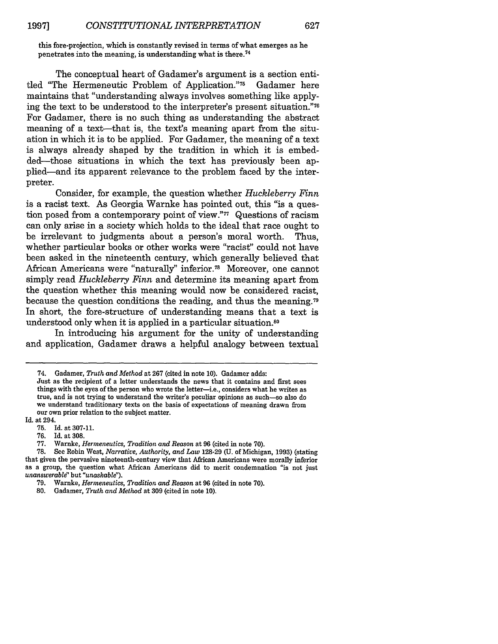this fore-projection, which is constantly revised in terms of what emerges as he penetrates into the meaning, is understanding what is there. <sup>74</sup>

The conceptual heart of Gadamer's argument is a section entitled "The Hermeneutic Problem of Application."<sup>75</sup> Gadamer here maintains that "understanding always involves something like applying the text to be understood to the interpreter's present situation."<sup>76</sup> For Gadamer, there is no such thing as understanding the abstract meaning of a text-that is, the text's meaning apart from the situation in which it is to be applied. For Gadamer, the meaning of a text is always already shaped by the tradition in which it is embedded-those situations in which the text has previously been applied-and its apparent relevance to the problem faced by the interpreter.

Consider, for example, the question whether *Huckleberry Finn* is a racist text. As Georgia Warnke has pointed out, this "is a question posed from a contemporary point of view."77 Questions of racism can only arise in a society which holds to the ideal that race ought to be irrelevant to judgments about a person's moral worth. Thus, whether particular books or other works were "racist" could not have been asked in the nineteenth century, which generally believed that African Americans were "naturally" inferior.<sup>78</sup> Moreover, one cannot simply read *Huckleberry Finn* and determine its meaning apart from the question whether this meaning would now be considered racist, because the question conditions the reading, and thus the meaning. <sup>79</sup> In short, the fore-structure of understanding means that a text is understood only when it is applied in a particular situation.<sup>80</sup>

In introducing his argument for the unity of understanding and application, Gadamer draws a helpful analogy between textual

Just as the recipient of a letter understands the news that it contains and first sees things with the eyes of the person who wrote the letter-i.e., considers what he writes as true, and is not trying to understand the writer's peculiar opinions as such-so also do we understand traditionary texts on the basis of expectations of meaning drawn from our own prior relation to the subject matter.

Id. at 294.

- 75. Id. at 307-11.
- Id. at 308.

<sup>74.</sup> Gadamer, *Truth and Method* at 267 (cited in note 10). Gadamer adds:

<sup>77.</sup> Warnke, *Hermeneutics, Tradition and Reason* at 96 (cited in note 70).

<sup>78.</sup> See Robin West, *Narrative, Authority, and Law* 128-29 **(U.** of Michigan, 1993) (stating that given the pervasive nineteenth-century view that African Americans were morally inferior as a group, the question what African Americans did to merit condemnation "is not just *unanswerable"* but *"unaskable").*

<sup>79.</sup> Warnke, *Hermeneutics, Tradition and Reason* at 96 (cited in note 70).

<sup>80.</sup> Gadamer, *Truth and Method* at 309 (cited in note 10).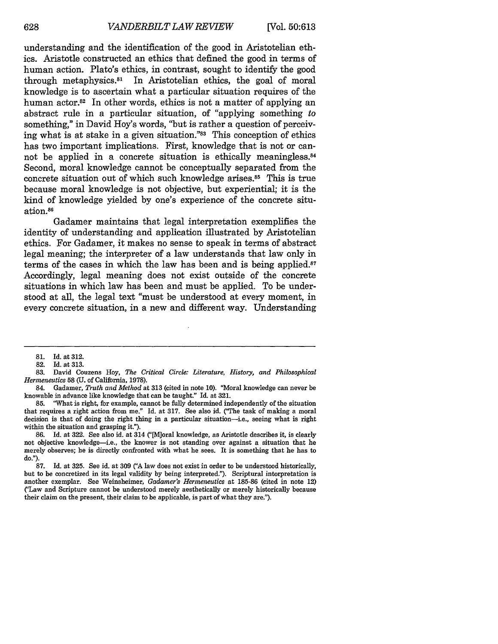understanding and the identification of the good in Aristotelian ethics. Aristotle constructed an ethics that defined the good in terms of human action. Plato's ethics, in contrast, sought to identify the good through metaphysics.81 In Aristotelian ethics, the goal of moral knowledge is to ascertain what a particular situation requires of the human actor.<sup>82</sup> In other words, ethics is not a matter of applying an abstract rule in a particular situation, of "applying something to something," in David Hoy's words, "but is rather a question of perceiving what is at stake in a given situation."83 This conception of ethics has two important implications. First, knowledge that is not or cannot be applied in a concrete situation is ethically meaningless.<sup>84</sup> Second, moral knowledge cannot be conceptually separated from the concrete situation out of which such knowledge arises.85 This is true because moral knowledge is not objective, but experiential; it is the kind of knowledge yielded by one's experience of the concrete situation.<sup>86</sup>

Gadamer maintains that legal interpretation exemplifies the identity of understanding and application illustrated by Aristotelian ethics. For Gadamer, it makes no sense to speak in terms of abstract legal meaning; the interpreter of a law understands that law only in terms of the cases in which the law has been and is being applied.<sup>87</sup> Accordingly, legal meaning does not exist outside of the concrete situations in which law has been and must be applied. To be understood at all, the legal text "must be understood at every moment, in every concrete situation, in a new and different way. Understanding

**<sup>81.</sup>** Id. at 312.

<sup>82.</sup> Id. at 313.

<sup>83.</sup> David Couzens Hoy, *The Critical Circle Literature, History, and Philosophical Hermeneutics* **58** (U. of California, 1978).

<sup>84.</sup> Gadamer, *Truth and Method* at 313 (cited in note 10). 'Moral knowledge can never be knowable in advance like knowledge that can be taught." Id. at 321.

<sup>85. &</sup>quot;What is right, for example, cannot be fully determined independently of the situation that requires a right action from me." Id. at 317. See also id. ("The task of making a moral decision is that of doing the right thing in a particular situation-i.e., seeing what is right within the situation and grasping it.").

<sup>86.</sup> Id. at 322. See also id. at 314 ("[M]oral knowledge, as Aristotle describes it, is clearly not objective knowledge-i.e., the knower is not standing over against a situation that he merely observes; he is directly confronted with what he sees. It is something that he has to do").

<sup>87.</sup> Id. at 325. See id. at 309 *("A* law does not exist in order to be understood historically, but to be concretized in its legal validity by being interpreted."). Scriptural interpretation is another exemplar. See Weinsheimer, *Gadamer's Hermeneutics* at 185-86 (cited in note 12) ('Law and Scripture cannot be understood merely aesthetically or merely historically because their claim on the present, their claim to be applicable, is part of what they are.").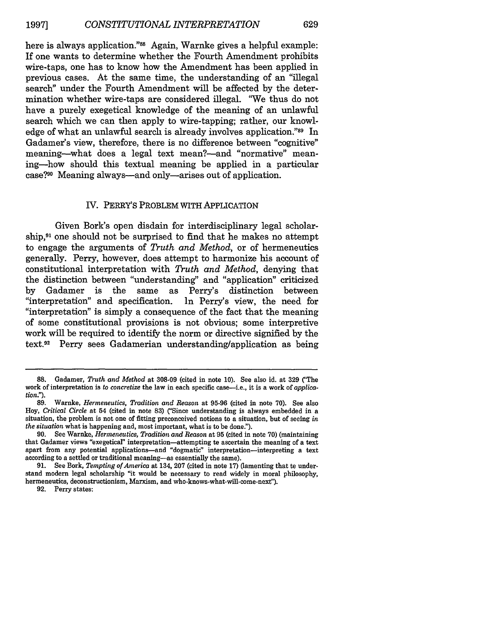here is always application."88 Again, Warnke gives a helpful example: If one wants to determine whether the Fourth Amendment prohibits wire-taps, one has to know how the Amendment has been applied in previous cases. At the same time, the understanding of an "illegal search" under the Fourth Amendment will be affected by the determination whether wire-taps are considered illegal. "We thus do not have a purely exegetical knowledge of the meaning of an unlawful search which we can then apply to wire-tapping; rather, our knowledge of what an unlawful search is already involves application."<sup>89</sup> In Gadamer's view, therefore, there is no difference between "cognitive" meaning--what does a legal text mean?--and "normative" meaning-how should this textual meaning be applied in a particular case?90 Meaning always-and only-arises out of application.

#### IV. PERRY'S PROBLEM WITH APPLICATION

Given Bork's open disdain for interdisciplinary legal scholarship,91 one should not be surprised to find that he makes no attempt to engage the arguments of *Truth and Method,* or of hermeneutics generally. Perry, however, does attempt to harmonize his account of constitutional interpretation with *Truth and Method,* denying that the distinction between "understanding" and "application" criticized by Gadamer is the same as Perry's distinction between "interpretation" and specification. In Perry's view, the need for "interpretation" is simply a consequence of the fact that the meaning of some constitutional provisions is not obvious; some interpretive work will be required to identify the norm or directive signified by the text.92 Perry sees Gadamerian understanding/application as being

<sup>88.</sup> Gadamer, *Truth and Method* at 308-09 (cited in note 10). See also id. at 329 (The work of interpretation is *to concretize* the law in each specific case-i.e., it is a work of *application.").*

<sup>89.</sup> Warnke, *Hermeneutics, Tradition and Reason* at 95-96 (cited in note 70). See also Hoy, *Critical Circle* at 54 (cited in note 83) ('Since understanding is always embedded in a situation, the problem is not one of fitting preconceived notions to a situation, but of seeing *in the situation* what is happening and, most important, what is to be done.").

<sup>90.</sup> See Warnke, *Hermeneutics, Tradition and Reason* at 95 (cited in note 70) (maintaining that Gadamer views "exegetical" interpretation-attempting to ascertain the meaning of a text apart from any potential applications-and "dogmatic" interpretation-interpreting a text according to a settled or traditional meaning-as essentially the same).

<sup>91.</sup> See Bork, *Tempting of America* at 134, 207 (cited in note 17) (lamenting that to understand modern legal scholarship "it would be necessary to read widely in moral philosophy, hermeneutics, deconstructionism, Marxism, and who-knows-what-will-come-nex').

<sup>92.</sup> Perry states: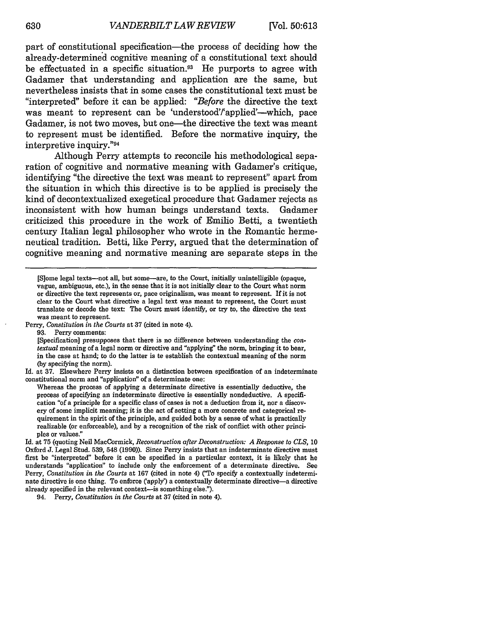part of constitutional specification—the process of deciding how the already-determined cognitive meaning of a constitutional text should be effectuated in a specific situation.<sup>93</sup> He purports to agree with Gadamer that understanding and application are the same, but nevertheless insists that in some cases the constitutional text must be "interpreted" before it can be applied: *"Before* the directive the text was meant to represent can be 'understood'/'applied'--which, pace Gadamer, is not two moves, but one—the directive the text was meant to represent must be identified. Before the normative inquiry, the interpretive inquiry."94

Although Perry attempts to reconcile his methodological separation of cognitive and normative meaning with Gadamer's critique, identifying "the directive the text was meant to represent" apart from the situation in which this directive is to be applied is precisely the kind of decontextualized exegetical procedure that Gadamer rejects as inconsistent with how human beings understand texts. Gadamer criticized this procedure in the work of Emilio Betti, a twentieth century Italian legal philosopher who wrote in the Romantic hermeneutical tradition. Betti, like Perry, argued that the determination of cognitive meaning and normative meaning are separate steps in the

[Specification] presupposes that there is no difference between understanding the *con. textual* meaning of a legal norm or directive and "applying" the norm, bringing it to bear, in the case at hand; to do the latter is to establish the contextual meaning of the norm (by specifying the norm).

Id. at 37. Elsewhere Perry insists on a distinction between specification of an indeterminate constitutional norm and "application" of a determinate one:

Whereas the process of applying a determinate directive is essentially deductive, the process of specifying an indeterminate directive is essentially nondeductive. A specification "of a principle for a specific class of cases is not a deduction from it, nor a discovery of some implicit meaning; it is the act of setting a more concrete and categorical requirement in the spirit of the principle, and guided both by a sense of what is practically realizable (or enforceable), and by a recognition of the risk of conflict with other principles or values."

Id. at **75** (quoting Neil MacCormick, *Reconstruction after Deconstructiow" A Response to CLS, 10* Oxford J. Legal Stud. 539, 548 (1990)). Since Perry insists that an indeterminate directive must first be "interpreted" before it can be specified in a particular context, it is likely that he understands "application" to include only the enforcement of a determinate directive. See Perry, *Constitution in the Courts* at **167** (cited in note 4) ("To specify a contextually indeterminate directive is one thing. To enforce ('apply') a contextually determinate directive-a directive already specified in the relevant context-is something else.").

94. Perry, *Constitution in the Courts* at 37 (cited in note 4).

<sup>[</sup>S]ome legal texts-not all, but some-are, to the Court, initially unintelligible (opaque, vague, ambiguous, etc.), in the sense that it is not initially clear to the Court what norm or directive the text represents or, pace originalism, was meant to represent. If it is not clear to the Court what directive a legal text was meant to represent, the Court must translate or decode the text: The Court must identify, or try to, the directive the text was meant to represent.

Perry, *Constitution in the Courts* at 37 (cited in note 4).

<sup>93.</sup> Perry comments: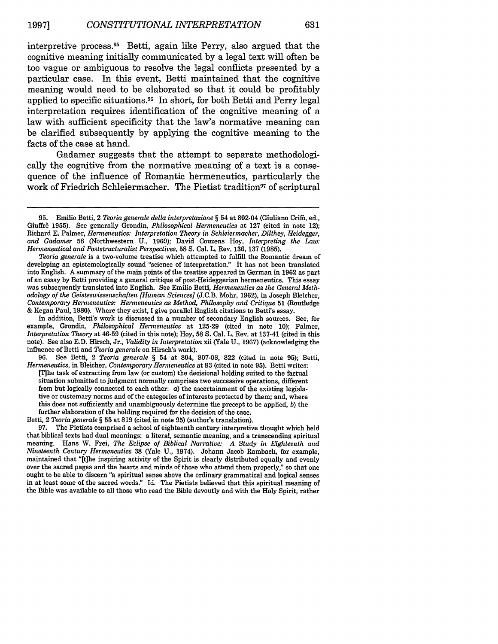interpretive process.<sup>95</sup> Betti, again like Perry, also argued that the cognitive meaning initially communicated by a legal text will often be too vague or ambiguous to resolve the legal conflicts presented by a particular case. In this event, Betti maintained that the cognitive meaning would need to be elaborated so that it could be profitably applied to specific situations. 96 In short, for both Betti and Perry legal interpretation requires identification of the cognitive meaning of a law with sufficient specificity that the law's normative meaning can be clarified subsequently by applying the cognitive meaning to the facts of the case at hand.

Gadamer suggests that the attempt to separate methodologically the cognitive from the normative meaning of a text is a consequence of the influence of Romantic hermeneutics, particularly the work of Friedrich Schleiermacher. The Pietist tradition<sup>97</sup> of scriptural

*Teoria generale* is a two-volume treatise which attempted to fulfill the Romantic dream of developing an epistemologically sound "science of interpretation." It has not been translated into English. A summary of the main points of the treatise appeared in German in 1962 as part of an essay by Betti providing a general critique of post-Heideggerian hermeneutics. This essay was subsequently translated into English. See Emilio Betti, *Hermeneutics as the General Methodology of the Geisteswissenschaften [Human Sciences]* **(J.C.B.** Mohr, 1962), in Joseph Bleicher, *Contemporary Herneneutics: Hermeneutics as Method, Philosophy and Critique* 51 (Routledge & Kegan Paul, 1980). Where they exist, I give parallel English citations to Betti's essay.

In addition, Betti's work is discussed in a number of secondary English sources. See, for example, Grondin, *Philosophical Hermeneutics* at 125-29 (cited in note 10); Palmer, *Interpretation Theory* at 46-59 (cited in this note); Hoy, 58 **S.** Cal. L. Rev. at 137-41 (cited in this note). See also E.D. Hirsch, Jr., *Validity in Interpretation* xii (Yale U., 1967) (acknowledging the influence of Betti and *Teoria generale* on Hirsch's work).

96. See Betti, 2 *Teoria generale §* 54 at 804, 807-08, 822 (cited in note 95); Betti, *Hernieneutics,* in Bleicher, *Contemporary Hermeneutics* at 83 (cited in note 95). Betti writes: IThe task of extracting from law (or custom) the decisional holding suited to the factual situation submitted to judgment normally comprises two successive operations, different from but logically connected to each other: *a)* the ascertainment of the existing legislative or custemary norms and of the categories of interests protected by them; and, where this does not sufficiently and unambiguously determine the precept to be applied, *b)* the further elaboration of the holding required for the decision of the case.

Betti, 2 *Teoria generale §* 55 at 819 (cited in note 95) (author's translation).

97. The Pietists comprised a school of eighteenth century interpretive thought which held that biblical texts had dual meanings: a literal, semantic meaning, and a transcending spiritual meaning. Hans W. Frei, *The Eclipse of Biblical Narrative: A Study in Eighteenth and Nineteenth* Century *Herieneutics* 38 (Yale U., 1974). Johann Jacob Rambach, for example, maintained that "[tihe inspiring activity of the Spirit is clearly distributed equally and evenly over the sacred pages and the hearts and minds of those who attend them properly," so that one ought to be able to discern "a spiritual sense above the ordinary grammatical and logical senses in at least some of the sacred words." Id. The Pietists believed that this spiritual meaning of the Bible was available to all those who read the Bible devoutly and with the Holy Spirit, rather

**<sup>95.</sup>** Emilio Betti, 2 *Teoria generale della interpretazione §* 54 at 802-04 (Giuliano Crif6, ed., Giuffr& 1955). See generally Grondin, *Philosophical Hermeneutics* at 127 (cited in note 12); Richard E. Palmer, *Hermeneutics: Interpretation Theory in Schleiermacher, Dilthey, Heidegger, and* Gadamer **58** (Northwestern U., 1969); David Couzens Hoy, *Interpreting the Law: Hernieneutical and Poststructuralist Perspectives,* **58 S.** Cal. L. Rev. 136, 137 (1985).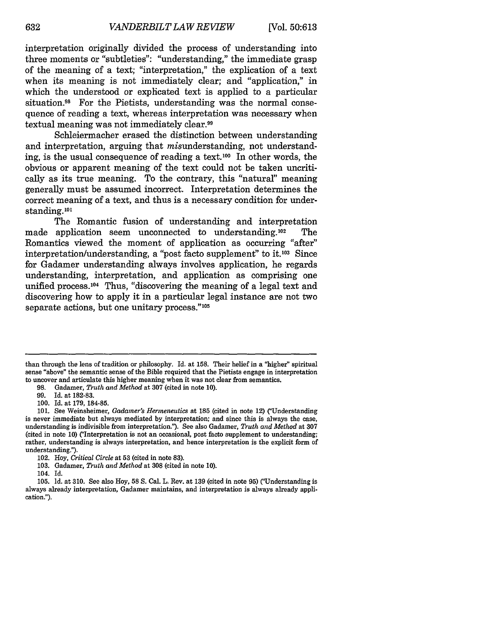interpretation originally divided the process of understanding into three moments or "subtleties": "understanding," the immediate grasp of the meaning of a text; "interpretation," the explication of a text when its meaning is not immediately clear; and "application," in which the understood or explicated text is applied to a particular situation.<sup>98</sup> For the Pietists, understanding was the normal consequence of reading a text, whereas interpretation was necessary when textual meaning was not immediately clear.<sup>99</sup>

Schleiermacher erased the distinction between understanding and interpretation, arguing that misunderstanding, not understanding, is the usual consequence of reading a text.<sup>100</sup> In other words, the obvious or apparent meaning of the text could not be taken uncritically as its true meaning. To the contrary, this "natural" meaning generally must be assumed incorrect. Interpretation determines the correct meaning of a text, and thus is a necessary condition for understanding.<sup>101</sup>

The Romantic fusion of understanding and interpretation made application seem unconnected to understanding.<sup>102</sup> The Romantics viewed the moment of application as occurring "after" interpretation/understanding, a "post facto supplement" to it.1°3 Since for Gadamer understanding always involves application, he regards understanding, interpretation, and application as comprising one unified process.<sup>104</sup> Thus, "discovering the meaning of a legal text and discovering how to apply it in a particular legal instance are not two separate actions, but one unitary process."<sup>105</sup>

than through the lens of tradition or philosophy. Id. at 158. Their belief in a "higher" spiritual sense "above" the semantic sense of the Bible required that the Pietists engage in interpretation to uncover and articulate this higher meaning when it was not clear from semantics.

<sup>98.</sup> Gadamer, *Truth and Method* at 307 (cited in note 10).

Id. at 182-83.

<sup>100.</sup> Id. at 179, 184-85.

<sup>101.</sup> See Weinsheimer, *Gadamer's Herineneutics* at 185 (cited in note 12) ("Understanding is never immediate but always mediated by interpretation; and since this is always the case, understanding is indivisible from interpretation."). See also Gadamer, *Truth and Method* at 307 (cited in note 10) ("Interpretation is not an occasional, post facto supplement to understanding; rather, understanding is always interpretation, and hence interpretation is the explicit form of understanding.").

<sup>102.</sup> Hoy, *Critical Circle* at **53** (cited in note 83).

<sup>103.</sup> Gadamer, *Truth and Method* at 308 (cited in note 10).

<sup>104.</sup> Id.

<sup>105.</sup> Id. at 310. See also Hoy, 58 S. Cal. L. Rev. at 139 (cited in note **95)** ("Understanding is always already interpretation, Gadamer maintains, and interpretation is always already application.").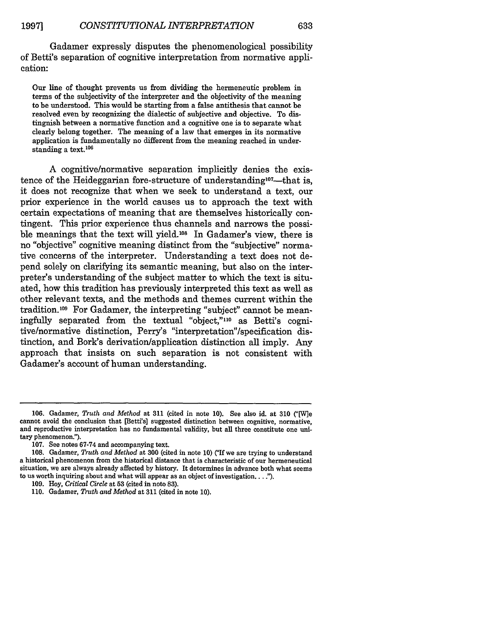Gadamer expressly disputes the phenomenological possibility of Betti's separation of cognitive interpretation from normative application:

Our line of thought prevents us from dividing the hermeneutic problem in terms of the subjectivity of the interpreter and the objectivity of the meaning to be understood. This would be starting from a false antithesis that cannot be resolved even by recognizing the dialectic of subjective and objective. To distingnish between a normative function and a cognitive one is to separate what clearly belong together. The meaning of a law that emerges in its normative application is fundamentally no different from the meaning reached in understanding a text.<sup>106</sup>

A cognitive/normative separation implicitly denies the existence of the Heideggarian fore-structure of understanding<sup>107</sup>—that is, it does not recognize that when we seek to understand a text, our prior experience in the world causes us to approach the text with certain expectations of meaning that are themselves historically contingent. This prior experience thus channels and narrows the possible meanings that the text will yield.<sup>108</sup> In Gadamer's view, there is no "objective" cognitive meaning distinct from the "subjective" normative concerns of the interpreter. Understanding a text does not depend solely on clarifying its semantic meaning, but also on the interpreter's understanding of the subject matter to which the text is situated, how this tradition has previously interpreted this text as well as other relevant texts, and the methods and themes current within the tradition.<sup>109</sup> For Gadamer, the interpreting "subject" cannot be meaningfully separated from the textual "object,"<sup>110</sup> as Betti's cognitive/normative distinction, Perry's "interpretation"/specification distinction, and Bork's derivation/application distinction all imply. Any approach that insists on such separation is not consistent with Gadamer's account of human understanding.

<sup>106.</sup> Gadamer, *Truth and Method* at 311 (cited in note 10). See also id. at 310 ("[W]e cannot avoid the conclusion that [Betti's] suggested distinction between cognitive, normative, and reproductive interpretation has no fundamental validity, but all three constitute one unitary phenomenon.").

<sup>107.</sup> See notes 67-74 and accompanying text.

**<sup>108.</sup>** Gadamer, *Truth and Method* at 300 (cited in note 10) ("If we are trying to understand a historical phenomenon from the historical distance that is characteristic of our hermeneutical situation, we are always already affected by history. It determines in advance both what seems to us worth inquiring about and what will appear as an object of investigation... **.**

<sup>109.</sup> Hoy, *Critical Circle* at **53** (cited in note 83).

<sup>110.</sup> Gadamer, *Truth and Method* at 311 (cited in note 10).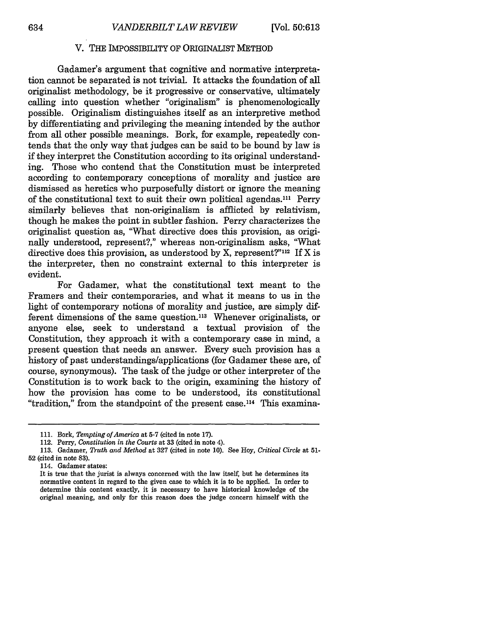#### V. THE IMPOSSIBILITY OF ORIGINALIST METHOD

Gadamer's argument that cognitive and normative interpretation cannot be separated is not trivial. It attacks the foundation of all originalist methodology, be it progressive or conservative, ultimately calling into question whether "originalism" is phenomenologically possible. Originalism distinguishes itself as an interpretive method by differentiating and privileging the meaning intended by the author from all other possible meanings. Bork, for example, repeatedly contends that the only way that judges can be said to be bound by law is if they interpret the Constitution according to its original understanding. Those who contend that the Constitution must be interpreted according to contemporary conceptions of morality and justice are dismissed as heretics who purposefully distort or ignore the meaning of the constitutional text to suit their own political agendas.<sup>111</sup> Perry similarly believes that non-originalism is afflicted by relativism, though he makes the point in subtler fashion. Perry characterizes the originalist question as, "What directive does this provision, as originally understood, represent?," whereas non-originalism asks, "What directive does this provision, as understood by X, represent?" $112$  If X is the interpreter, then no constraint external to this interpreter is evident.

For Gadamer, what the constitutional text meant to the Framers and their contemporaries, and what it means to us in the light of contemporary notions of morality and justice, are simply different dimensions of the same question.<sup>113</sup> Whenever originalists, or anyone else, seek to understand a textual provision of the Constitution, they approach it with a contemporary case in mind, a present question that needs an answer. Every such provision has a history of past understandings/applications (for Gadamer these are, of course, synonymous). The task of the judge or other interpreter of the Constitution is to work back to the origin, examining the history of how the provision has come to be understood, its constitutional "tradition," from the standpoint of the present case.<sup>114</sup> This examina-

114. Gadamer states:

<sup>111.</sup> Bork, *Tempting of America* at 5-7 (cited in note 17).

<sup>112.</sup> Perry, *Constitution in the Courts* at **33** (cited in note 4).

<sup>113.</sup> Gadamer, *Truth and Method* at 327 (cited in note 10). See Hoy, *Critical Circle* at 51- **52** (cited in note 83).

It is true that the jurist is always concerned with the law itself, but he determines its normative content in regard to the given case to which it is to be applied. In order to determine this content exactly, it is necessary to have historical knowledge of the original meaning, and only for this reason does the judge concern himself with the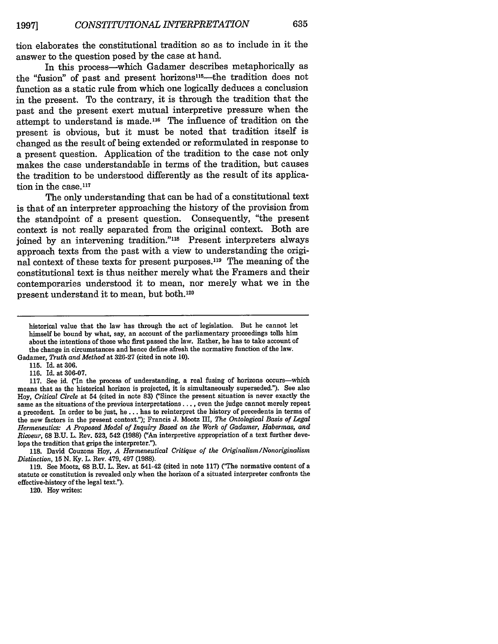tion elaborates the constitutional tradition so as to include in it the answer to the question posed **by** the case at hand.

In this process-which Gadamer describes metaphorically as the "fusion" of past and present horizons<sup>115</sup>-the tradition does not function as a static rule from which one logically deduces a conclusion in the present. To the contrary, it is through the tradition that the past and the present exert mutual interpretive pressure when the attempt to understand is made.<sup>116</sup> The influence of tradition on the present is obvious, but it must be noted that tradition itself is changed as the result of being extended or reformulated in response to a present question. Application of the tradition to the case not only makes the case understandable in terms of the tradition, but causes the tradition to be understood differently as the result of its application in the case.<sup>117</sup>

The only understanding that can be had of a constitutional text is that of an interpreter approaching the history of the provision from the standpoint of a present question. Consequently, "the present context is not really separated from the original context. Both are ioined by an intervening tradition."<sup>118</sup> Present interpreters always approach texts from the past with a view to understanding the original context of these texts for present purposes.<sup>119</sup> The meaning of the constitutional text is thus neither merely what the Framers and their contemporaries understood it to mean, nor merely what we in the present understand it to mean, but both.120

**115.** Id. at **306.**

**116.** Id. at **306-07.**

**117.** See id. **CIn** the process of understanding, a real fusing of horizons occurs-which means that as the historical horizon is projected, it is simultaneously superseded."). See also Hoy, *Critical Circle* at 54 (cited in note **83)** (Since the present situation is never exactly the same as the situations of the previous interpretations **....** even the judge cannot merely repeat a precedent. In order to be just, he **...** has to reinterpret the history of precedents in terms of the new factors in the present context."); Francis **J.** Mootz III, *The Ontological Basis of Legal Hermeneutics: A Proposed Model of Inquiry Based on the Work of Gadamer, Habermas, and Ricoeur,* **68 B.U.** L. Rev. **523,** 542 **(1988)** ("An interpretive appropriation of a text further develops the tradition that grips the interpreter.").

**118.** David Couzens Hoy, *A Hermeneutical Critique of the Originalism/Nonoriginalism Distinction,* **15 N. Ky.** L. Rev. 479, 497 **(1988).**

**119.** See Mootz, **68 B.U.** L. Rev. at 541-42 (cited in note **117)** CThe normative content of a statute or constitution is revealed only when the horizon of a situated interpreter confronts the effective-history of the legal text.").

120. Hoy writes:

historical value that the law has through the act of legislation. But he cannot let himself be bound **by** what, say, an account of the parliamentary proceedings **tells** him about the intentions of those who first passed the law. Rather, he has to take account of the change in circumstances and hence define afresh the normative function of the law. Gadamer, *Truth and Method* at **326-27** (cited in note **10).**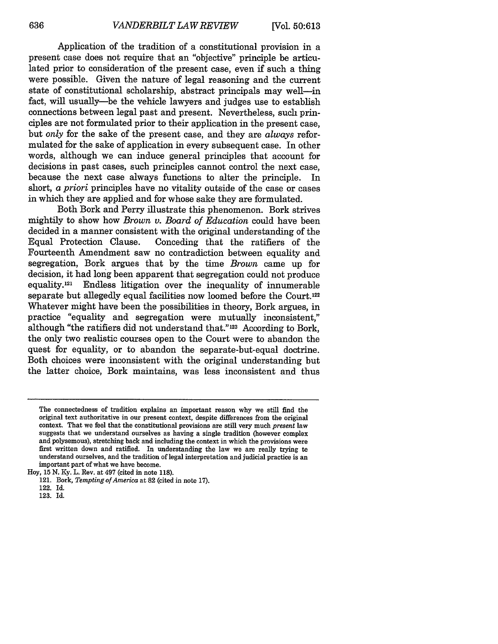Application of the tradition of a constitutional provision in a present case does not require that an "objective" principle be articulated prior to consideration of the present case, even if such a thing were possible. Given the nature of legal reasoning and the current state of constitutional scholarship, abstract principals may well-in fact, will usually-be the vehicle lawyers and judges use to establish connections between legal past and present. Nevertheless, such principles are not formulated prior to their application in the present case, but *only* for the sake of the present case, and they are *always* reformulated for the sake of application in every subsequent case. In other words, although we can induce general principles that account for decisions in past cases, such principles cannot control the next case, because the next case always functions to alter the principle. In short, a *priori* principles have no vitality outside of the case or cases in which they are applied and for whose sake they are formulated.

Both Bork and Perry illustrate this phenomenon. Bork strives mightily to show how *Brown v. Board of Education* could have been decided in a manner consistent with the original understanding of the Equal Protection Clause. Conceding that the ratifiers of the Fourteenth Amendment saw no contradiction between equality and segregation, Bork argues that by the time *Brown* came up for decision, it had long been apparent that segregation could not produce equality.121 Endless litigation over the inequality of innumerable separate but allegedly equal facilities now loomed before the Court. <sup>122</sup> Whatever might have been the possibilities in theory, Bork argues, in practice "equality and segregation were mutually inconsistent," although "the ratifiers did not understand that."123 According to Bork, the only two realistic courses open to the Court were to abandon the quest for equality, or to abandon the separate-but-equal doctrine. Both choices were inconsistent with the original understanding but the latter choice, Bork maintains, was less inconsistent and thus

The connectedness of tradition explains an important reason why we still find the original text authoritative in our present context, despite differences from the original context. That we feel that the constitutional provisions are still very much *present* law suggests that we understand ourselves as having a single tradition (however complex and polysemous), stretching back and including the context in which the provisions were first written down and ratified. In understanding the law we are really trying to understand ourselves, and the tradition of legal interpretation and judicial practice is an important part of what we have become.

Hoy, 15 N. Ky. L. Rev. at 497 (cited in note 118).

<sup>121.</sup> Bork, *Tempting of America* at 82 (cited in note 17).

<sup>122.</sup> Id.

<sup>123.</sup> Id.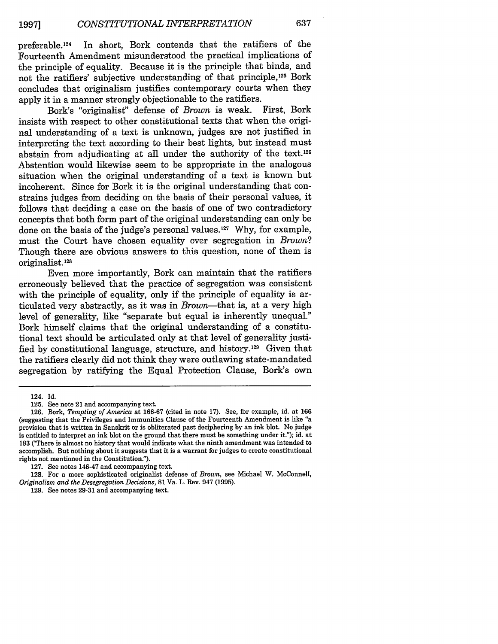preferable. 124 In short, Bork contends that the ratifiers of the Fourteenth Amendment misunderstood the practical implications of the principle of equality. Because it is the principle that binds, and not the ratifiers' subjective understanding of that principle, 125 Bork concludes that originalism justifies contemporary courts when they apply it in a manner strongly objectionable to the ratifiers.<br>Bork's "originalist" defense of *Brown* is weak. First, Bork

Bork's "originalist" defense of *Brown* is weak. insists with respect to other constitutional texts that when the original understanding of a text is unknown, judges are not justified in interpreting the text according to their best lights, but instead must abstain from adjudicating at all under the authority of the text.<sup>126</sup> Abstention would likewise seem to be appropriate in the analogous situation when the original understanding of a text is known but incoherent. Since for Bork it is the original understanding that constrains judges from deciding on the basis of their personal values, it follows that deciding a case on the basis of one of two contradictory concepts that both form part of the original understanding can only be done on the basis of the judge's personal values.<sup>127</sup> Why, for example, must the Court have chosen equality over segregation in *Brown?* Though there are obvious answers to this question, none of them is originalist.<sup>128</sup>

Even more importantly, Bork can maintain that the ratifiers erroneously believed that the practice of segregation was consistent with the principle of equality, only if the principle of equality is articulated very abstractly, as it was in *Brown-that* is, at a very high level of generality, like "separate but equal is inherently unequal." Bork himself claims that the original understanding of a constitutional text should be articulated only at that level of generality justified by constitutional language, structure, and history.<sup>129</sup> Given that the ratifiers clearly did not think they were outlawing state-mandated segregation by ratifying the Equal Protection Clause, Bork's own

<sup>124.</sup> Id.

<sup>125.</sup> See note 21 and accompanying text.

<sup>126.</sup> Bork, *Tempting of America* at 166-67 (cited in note 17). See, for example, id. at 166 (suggesting that the Privileges and Immunities Clause of the Fourteenth Amendment is like "a provision that is written in Sanskrit or is obliterated past deciphering by an ink blot. No judge is entitled to interpret an ink blot on the ground that there must be something under it."); id. at 183 ("There is almost no history that would indicate what the ninth amendment was intended to accomplish. But nothing about it suggests that it is a warrant for judges to create constitutional rights not mentioned in the Constitution.").

<sup>127.</sup> See notes 146-47 and accompanying text.

<sup>128.</sup> For a more sophisticated originalist defense of *Brown,* see Michael W. McConnell, *Originalism* and *the Desegregation Decisions,* 81 Va. L. Rev. 947 (1995).

<sup>129.</sup> See notes 29-31 and accompanying text.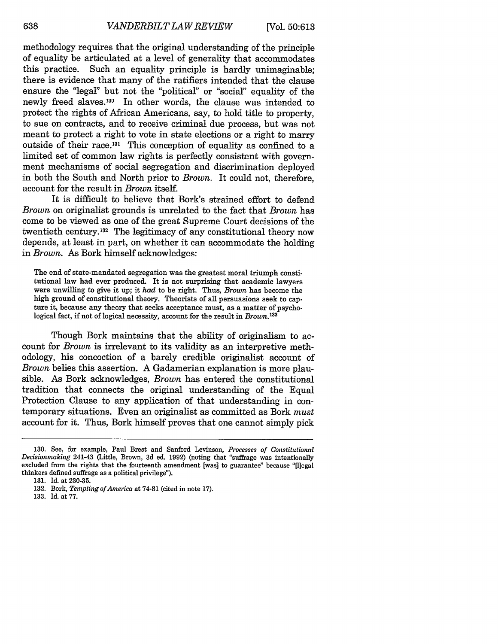methodology requires that the original understanding of the principle of equality be articulated at a level of generality that accommodates this practice. Such an equality principle is hardly unimaginable; there is evidence that many of the ratifiers intended that the clause ensure the "legal" but not the "political" or "social" equality of the newly freed slaves.130 In other words, the clause was intended to protect the rights of African Americans, say, to hold title to property, to sue on contracts, and to receive criminal due process, but was not meant to protect a right to vote in state elections or a right to marry outside of their race.<sup>131</sup> This conception of equality as confined to a limited set of common law rights is perfectly consistent with government mechanisms of social segregation and discrimination deployed in both the South and North prior to *Brown.* It could not, therefore, account for the result in *Brown* itself.

It is difficult to believe that Bork's strained effort to defend *Brown* on originalist grounds is unrelated to the fact that *Brown* has come to be viewed as one of the great Supreme Court decisions of the twentieth century.132 The legitimacy of any constitutional theory now depends, at least in part, on whether it can accommodate the holding in *Brown.* As Bork himself acknowledges:

The end of state-mandated segregation was the greatest moral triumph constitutional law had ever produced. It is not surprising that academic lawyers were unwilling to give it up; it *had* to be right. Thus, *Brown* has become the high ground of constitutional theory. Theorists of all persuasions seek to capture it, because any theory that seeks acceptance must, as a matter of psychological fact, if not of logical necessity, account for the result in *Brown.13'*

Though Bork maintains that the ability of originalism to account for *Brown* is irrelevant to its validity as an interpretive methodology, his concoction of a barely credible originalist account of *Brown* belies this assertion. A Gadamerian explanation is more plausible. As Bork acknowledges, *Brown* has entered the constitutional tradition that connects the original understanding of the Equal Protection Clause to any application of that understanding in contemporary situations. Even an originalist as committed as Bork *must* account for it. Thus, Bork himself proves that one cannot simply pick

<sup>130.</sup> See, for example, Paul Brest and Sanford Levinson, *Processes of Constitutional Decisionmaking* 241-43 (Little, Brown, 3d ed. 1992) (noting that "suffrage was intentionally excluded from the rights that the fourteenth amendment [was] to guarantee" because "[1]egal thinkers defined suffrage as a political privilege").

<sup>131.</sup> Id. at 230-35.

**<sup>132.</sup>** Bork, *Tempting of America* at **74-81** (cited in note **17).**

<sup>133.</sup> Id. at 77.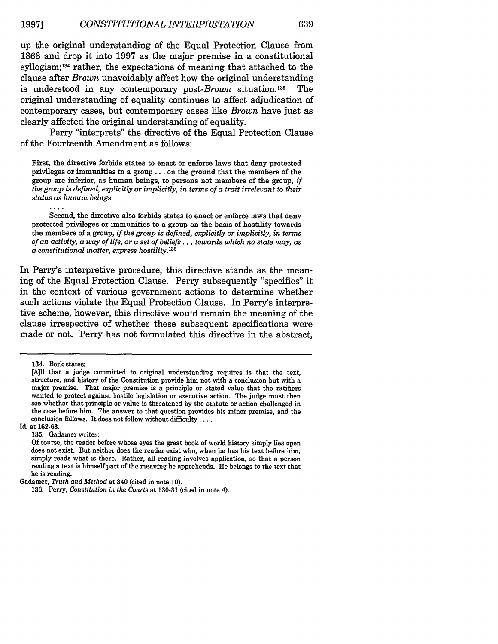up the original understanding of the Equal Protection Clause from 1868 and drop it into 1997 as the major premise in a constitutional syllogism; 134 rather, the expectations of meaning that attached to the clause after *Brown* unavoidably affect how the original understanding is understood in any contemporary *post-Brown* situation. 135 The original understanding of equality continues to affect adjudication of contemporary cases, but contemporary cases like *Brown* have just as clearly affected the original understanding of equality.

Perry "interprets" the directive of the Equal Protection Clause of the Fourteenth Amendment as follows:

First, the directive forbids states to enact or enforce laws that deny protected privileges or immunities to a group **...** on the ground that the members of the group are inferior, as human beings, to persons not members of the group, *if the group is defined, explicitly or implicitly, in terms of a trait irrelevant to their status as human beings.*

Second, the directive also forbids states to enact or enforce laws that deny protected privileges or immunities to a group on the basis of hostility towards the members of a group, *if the group is defined, explicitly or implicitly, in terms of an activity, a way of life, or a set of beliefs... towards which no state may, as a constitutional matter, express hostility.136*

In Perry's interpretive procedure, this directive stands as the meaning of the Equal Protection Clause. Perry subsequently "specifies" it in the context of various government actions to determine whether such actions violate the Equal Protection Clause. In Perry's interpretive scheme, however, this directive would remain the meaning of the clause irrespective of whether these subsequent specifications were made or not. Perry has not formulated this directive in the abstract,

Id. at 162-63.

135. Gadamer writes:

<sup>134.</sup> Bork states:

<sup>[</sup>A]ll that a judge committed to original understanding requires is that the text, structure, and history of the Constitution provide him not with a conclusion but with a major premise. That major premise is a principle or stated value that the ratifiers wanted to protect against hostile legislation or executive action. The judge must then see whether that principle or value is threatened by the statute or action challenged in the case before him. The answer to that question provides his minor premise, and the conclusion follows. It does not follow without difficulty ....

Of course, the reader before whose eyes the great book of world history simply lies open does not exist. But neither does the reader exist who, when he has his text before him, simply reads what is there. Rather, all reading involves application, so that a person reading a text is himself part of the meaning he apprehends. He belongs to the text that he is reading.

Gadamer, *Truth and Method* at 340 (cited in note **10).**

**<sup>136.</sup>** Perry, *Constitution in the Courts* at **130-31** (cited in note 4).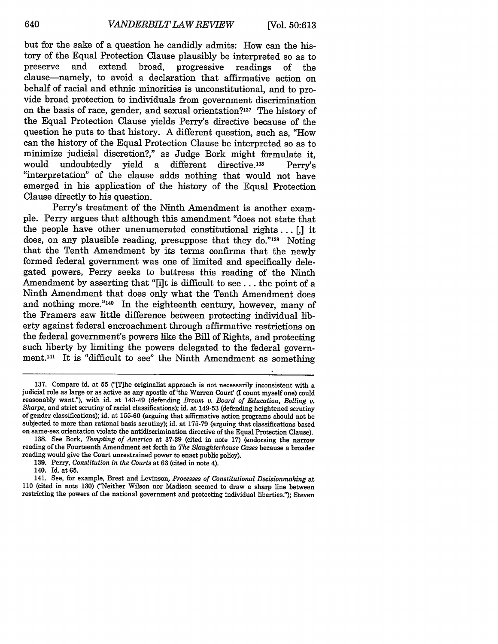but for the sake of a question he candidly admits: How can the history of the Equal Protection Clause plausibly be interpreted so as to preserve and extend broad, progressive readings of the clause-namely, to avoid a declaration that affirmative action on behalf of racial and ethnic minorities is unconstitutional, and to provide broad protection to individuals from government discrimination on the basis of race, gender, and sexual orientation?<sup>137</sup> The history of the Equal Protection Clause yields Perry's directive because of the question he puts to that history. A different question, such as, "How can the history of the Equal Protection Clause be interpreted so as to minimize judicial discretion?," as Judge Bork might formulate it, would undoubtedly yield a different directive.138 Perry's "interpretation" of the clause adds nothing that would not have emerged in his application of the history of the Equal Protection Clause directly to his question.

Perry's treatment of the Ninth Amendment is another example. Perry argues that although this amendment "does not state that the people have other unenumerated constitutional rights... *[,]* it does, on any plausible reading, presuppose that they do."<sup>139</sup> Noting that the Tenth Amendment by its terms confirms that the newly formed federal government was one of limited and specifically delegated powers, Perry seeks to buttress this reading of the Ninth Amendment by asserting that "[i]t is difficult to see... the point of a Ninth Amendment that does only what the Tenth Amendment does and nothing more."14o In the eighteenth century, however, many of the Framers saw little difference between protecting individual liberty against federal encroachment through affirmative restrictions on the federal government's powers like the Bill of Rights, and protecting such liberty by limiting the powers delegated to the federal government.<sup>141</sup> It is "difficult to see" the Ninth Amendment as something

<sup>137.</sup> Compare id. at **55** ("[The originalist approach is not necessarily inconsistent with a judicial role as large or as active as any apostle of 'the Warren Court' (I count myself one) could reasonably want."), with id. at 143-49 (defending *Brown v. Board of Education, Bolling v.* Sharpe, and strict scrutiny of racial classifications); id. at 149-53 (defending heightened scrutiny of gender classifications); id. at 155-60 (arguing that affirmative action programs should not be subjected to more than rational basis scrutiny); id. at 175-79 (arguing that classifications based on same-sex orientation violate the antidiscrimination directive of the Equal Protection Clause).

<sup>138.</sup> See Bork, *Tempting of America* at 37-39 (cited in note 17) (endorsing the narrow reading of the Fourteenth Amendment set forth in *The Slaughterhouse Cases* because a broader reading would give the Court unrestrained power to enact public policy).

**<sup>139.</sup>** Perry, *Constitution in the Courts* at **63** (cited in note 4).

<sup>140.</sup> Id. at 65.

<sup>141.</sup> See, for example, Brest and Levinson, *Processes of Constitutional Decisionmaking* at 110 (cited in note 130) ('Neither Wilson nor Madison seemed to draw a sharp line between restricting the powers of the national government and protecting individual liberties."); Steven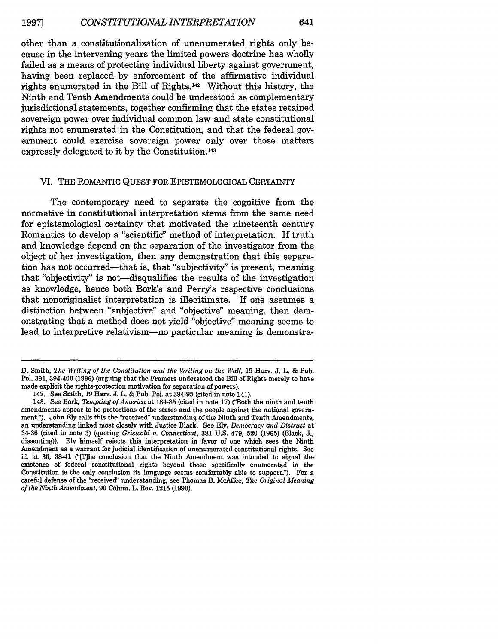other than a constitutionalization of unenumerated rights only because in the intervening years the limited powers doctrine has wholly failed as a means of protecting individual liberty against government, having been replaced by enforcement of the affirmative individual rights enumerated in the Bill of Rights.142 Without this history, the Ninth and Tenth Amendments could be understood as complementary jurisdictional statements, together confirming that the states retained sovereign power over individual common law and state constitutional rights not enumerated in the Constitution, and that the federal government could exercise sovereign power only over those matters expressly delegated to it by the Constitution.<sup>143</sup>

#### VI. THE ROMANTIC **QUEST** FOR EPISTEMOLOGICAL CERTAINTY

The contemporary need to separate the cognitive from the normative in constitutional interpretation stems from the same need for epistemological certainty that motivated the nineteenth century Romantics to develop a "scientific" method of interpretation. If truth and knowledge depend on the separation of the investigator from the object of her investigation, then any demonstration that this separation has not occurred-that is, that "subjectivity" is present, meaning that "objectivity" is not—disqualifies the results of the investigation as knowledge, hence both Bork's and Perry's respective conclusions that nonoriginalist interpretation is illegitimate. If one assumes a distinction between "subjective" and "objective" meaning, then demonstrating that a method does not yield "objective" meaning seems to lead to interpretive relativism-no particular meaning is demonstra-

D. Smith, *The Writing of the Constitution and the Writing on the Wall,* 19 Harv. J. L. & Pub. Pol. 391, 394-400 (1996) (arguing that the Framers understood the Bill of Rights merely to have made explicit the rights-protection motivation for separation of powers).

<sup>142.</sup> See Smith, 19 Harv. J. L. & Pub. Pol. at 394-95 (cited in note 141).

<sup>143.</sup> See Bork, *Tempting of America* at 184-85 (cited in note 17) ("Both the ninth and tenth amendments appear to be protections of the states and the people against the national government."). John Ely calls this the "received" understanding of the Ninth and Tenth Amendments, an understanding linked most closely with Justice Black. See Ely, *Democracy and Distrust* at 34-36 (cited in note 3) (quoting *Griswold v. Connecticut,* 381 U.S. 479, 520 (1965) (Black, J., dissenting)). Ely himself rejects this interpretation in favor of one which sees the Ninth Amendment as a warrant for judicial identification of unenumerated constitutional rights. See id. at 35, 38-41 ('[The conclusion that the Ninth Amendment was intended to signal the existence of federal constitutional rights beyond those specifically enumerated in the Constitution is the only conclusion its language seems comfortably able to support."). For a careful defense of the "received" understanding, see Thomas B. McAffee, *The Original Meaning of the Ninth Amendment,* 90 Colum. L. Rev. 1215 (1990).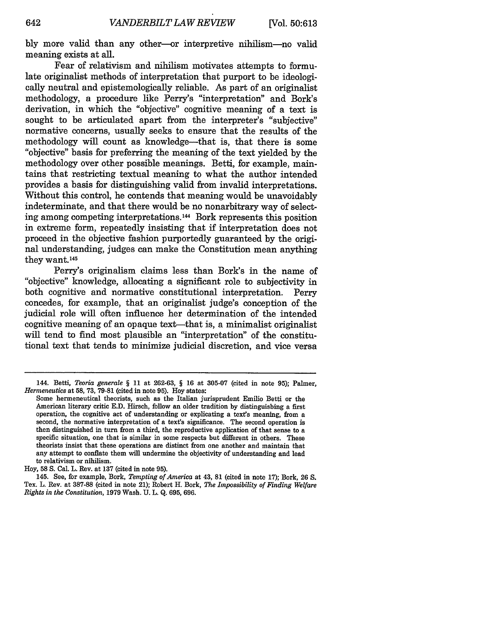bly more valid than any other-or interpretive nihilism-no valid meaning exists at all.

Fear of relativism and nihilism motivates attempts to formulate originalist methods of interpretation that purport to be ideologically neutral and epistemologically reliable. As part of an originalist methodology, a procedure like Perry's "interpretation" and Bork's derivation, in which the "objective" cognitive meaning of a text is sought to be articulated apart from the interpreter's "subjective" normative concerns, usually seeks to ensure that the results of the methodology will count as knowledge-that is, that there is some "objective" basis for preferring the meaning of the text yielded by the methodology over other possible meanings. Betti, for example, maintains that restricting textual meaning to what the author intended provides a basis for distinguishing valid from invalid interpretations. Without this control, he contends that meaning would be unavoidably indeterminate, and that there would be no nonarbitrary way of selecting among competing interpretations.<sup>144</sup> Bork represents this position in extreme form, repeatedly insisting that if interpretation does not proceed in the objective fashion purportedly guaranteed by the original understanding, judges can make the Constitution mean anything they want.<sup>145</sup>

Perry's originalism claims less than Bork's in the name of "objective" knowledge, allocating a significant role to subjectivity in both cognitive and normative constitutional interpretation. Perry concedes, for example, that an originalist judge's conception of the judicial role will often influence her determination of the intended cognitive meaning of an opaque text-that is, a minimalist originalist will tend to find most plausible an "interpretation" of the constitutional text that tends to minimize judicial discretion, and vice versa

<sup>144.</sup> Betti, *Teoria generale §* 11 at 262-63, § 16 at 305-07 (cited in note 95); Palmer, *Hermeneutics* at 58, 73, 79-81 (cited in note 95). Hoy states:

Some hermeneutical theorists, such as the Italian jurisprudent Emilio Betti or the American literary critic E.D. Hirsch, follow an older tradition by distinguishing a first operation, the cognitive act of understanding or explicating a text's meaning, from a second, the normative interpretation of a text's significance. The second operation is then distinguished in turn from a third, the reproductive application of that sense to a specific situation, one that is similar in some respects but different in others. These theorists insist that these operations are distinct from one another and maintain that any attempt to conflate them will undermine the objectivity of understanding and lead to relativism or nihilism.

Hoy, 58 **S.** Cal. L. Rev. at 137 (cited in note 95).

<sup>145.</sup> See, for example, Bork, *Tempting of America* at 43, **81** (cited in note 17); Bork, 26 **S.** Tex. L. Rev. at 387-88 (cited in note 21); Robert H. Bork, *The Impossibility of Finding Welfare Rights in the Constitution,* 1979 Wash. U. L. Q. 695, 696.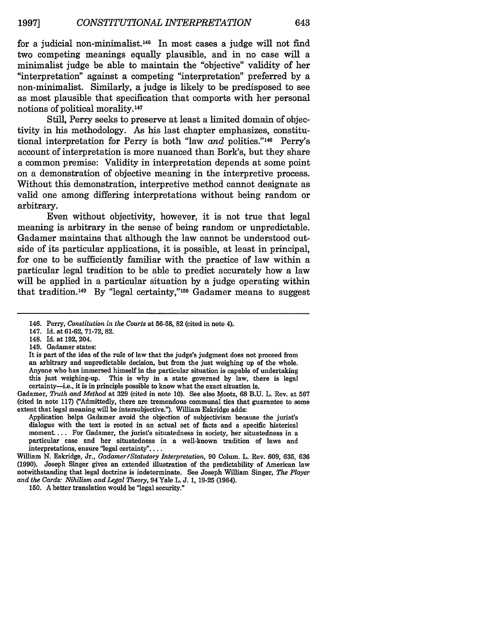for a judicial non-minimalist.146 In most cases a judge will not **find** two competing meanings equally plausible, and in no case will a minimalist judge be able to maintain the "objective" validity of her "interpretation" against a competing "interpretation" preferred by a non-minimaist. Similarly, a judge is likely to be predisposed to see as most plausible that specification that comports with her personal notions of political morality. <sup>147</sup>

Still, Perry seeks to preserve at least a limited domain of objectivity in his methodology. As his last chapter emphasizes, constitutional interpretation for Perry is both "law *and* politics."<sup>148</sup> Perry's account of interpretation is more nuanced than Bork's, but they share a common premise: Validity in interpretation depends at some point on a demonstration of objective meaning in the interpretive process. Without this demonstration, interpretive method cannot designate as valid one among differing interpretations without being random or arbitrary.

Even without objectivity, however, it is not true that legal meaning is arbitrary in the sense of being random or unpredictable. Gadamer maintains that although the law cannot be understood outside of its particular applications, it is possible, at least in principal, for one to be sufficiently familiar with the practice of law within a particular legal tradition to be able to predict accurately how a law will be applied in a particular situation by a judge operating within that tradition.<sup>149</sup> By "legal certainty,"<sup>150</sup> Gadamer means to suggest

149. Gadamer states:

Gadamer, *Truth and Method* at **329** (cited in note **10).** See also Mootz, **68 B.U.** L. Rev. at **567** (cited in note **117)** ("Admittedly, there are tremendous communal ties that guarantee to some extent that legal meaning will be intersubjective."). William Eskridge adds:

Application helps Gadamer avoid the objection of subjectivism because the jurist's dialogue with the text is rooted in an actual set of facts and a specific historical moment.... For Gadamer, the jurist's situatedness in society, her situatedness in a particular case and her situatedness in a well-known tradition of laws and interpretations, ensure "legal certainty"....

William **N.** Eskridge, Jr., *Gadamer/Statutory Interpretation,* **90** Colum. L. Rev. **609, 635, 636 (1990).** Joseph Singer gives an extended illustration of the predictability of American law notwithstanding that legal doctrine is indeterminate. See Joseph William Singer, *The Player and the Cards: Nihilism and Legal Theory,* 94 Yale L. **J. 1, 19-25** (1984).

**150.** A better translation would be "legal security."

<sup>146.</sup> Perry, *Constitution in the Courts* at **56-58, 82** (cited in note 4).

<sup>147.</sup> Id. at **61-62, 71-72, 82.**

<sup>148.</sup> Id. at **192,** 204.

It is part of the idea of the rule of law that the judge's judgment does not proceed from an arbitrary and unpredictable decision, but from the just weighing up of the whole. Anyone who has immersed himself in the particular situation is capable of undertaking this just weighing-up. This is why in a state governed **by** law, there is legal certainty-i.e., it is in principle possible to know what the exact situation is.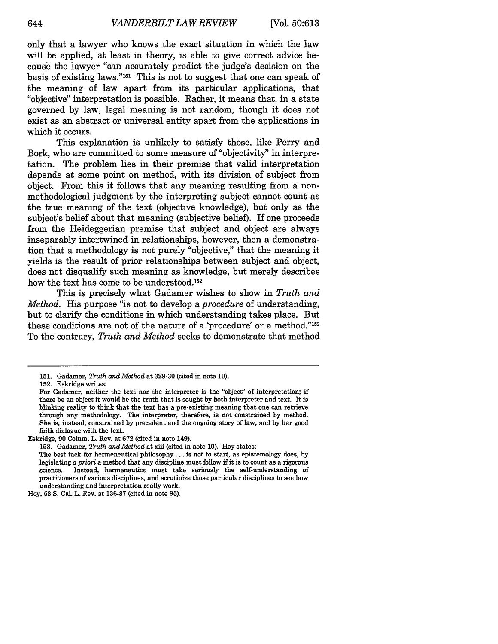only that a lawyer who knows the exact situation in which the law will be applied, at least in theory, is able to give correct advice because the lawyer "can accurately predict the judge's decision on the basis of existing laws." $151$  This is not to suggest that one can speak of the meaning of law apart from its particular applications, that "objective" interpretation is possible. Rather, it means that, in a state governed by law, legal meaning is not random, though it does not exist as an abstract or universal entity apart from the applications in which it occurs.

This explanation is unlikely to satisfy those, like Perry and Bork, who are committed to some measure of "objectivity" in interpretation. The problem lies in their premise that valid interpretation depends at some point on method, with its division of subject from object. From this it follows that any meaning resulting from a nonmethodological judgment by the interpreting subject cannot count as the true meaning of the text (objective knowledge), but only as the subject's belief about that meaning (subjective belief). If one proceeds from the Heideggerian premise that subject and object are always inseparably intertwined in relationships, however, then a demonstration that a methodology is not purely "objective," that the meaning it yields is the result of prior relationships between subject and object, does not disqualify such meaning as knowledge, but merely describes how the text has come to be understood.<sup>152</sup>

This is precisely what Gadamer wishes to show in *Truth and Method.* His purpose "is not to develop a *procedure* of understanding, but to clarify the conditions in which understanding takes place. But these conditions are not of the nature of a 'procedure' or a method."<sup>153</sup> To the contrary, *Truth and Method* seeks to demonstrate that method

<sup>151.</sup> Gadamer, *Truth and Method* at 329-30 (cited in note 10).

<sup>152.</sup> Eskridge writes:

For Gadamer, neither the text nor the interpreter is the "object" of interpretation: if there be an object it would be the truth that is sought by both interpreter and text. It is blinking reality to think that the text has a pre-existing meaning that one can retrieve through any methodology. The interpreter, therefore, is not constrained by method. She is, instead, constrained by precedent and the ongoing story of law, and by her good faith dialogue with the text.

Eskridge, 90 Colum. L. Rev. at 672 (cited in note 149).

<sup>153.</sup> Gadamer, *Truth and Method* at xiii (cited in note 10). Hoy states:

The best tack for hermeneutical philosophy... is not to start, as epistemology does, by legislating a *priori* a method that any discipline must follow if it is to count as a rigorous science. Instead, hermeneutics must take seriously the self-understanding of practitioners of various disciplines, and scrutinize those particular disciplines to see how understanding and interpretation really work.

Hoy, 58 S. Cal. L. Rev. at 136-37 (cited in note 95).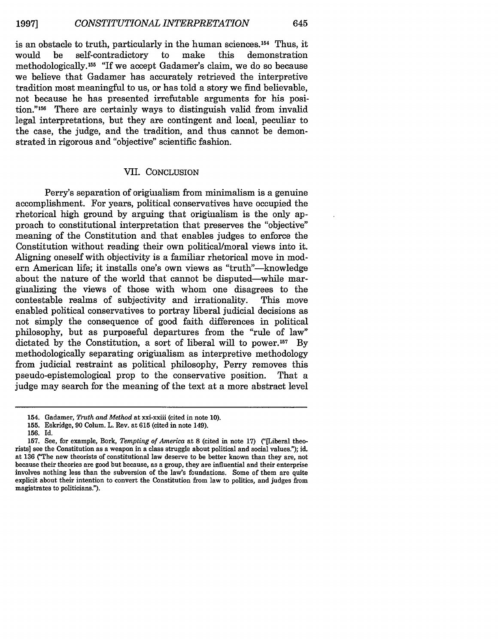645

is an obstacle to truth, particularly in the human sciences.<sup>154</sup> Thus, it would be self-contradictory to make this demonstration would be self-contradictory to make this demonstration methodologically. 155 "If we accept Gadamer's claim, we do so because we believe that Gadamer has accurately retrieved the interpretive tradition most meaningful to us, or has told a story we find believable, not because he has presented irrefutable arguments for his position."156 There are certainly ways to distinguish valid from invalid legal interpretations, but they are contingent and local, peculiar to the case, the judge, and the tradition, and thus cannot be demonstrated in rigorous and "objective" scientific fashion.

#### VII. CONCLUSION

Perry's separation of originalism from minimalism is a genuine accomplishment. For years, political conservatives have occupied the rhetorical high ground by arguing that originalism is the only approach to constitutional interpretation that preserves the "objective" meaning of the Constitution and that enables judges to enforce the Constitution without reading their own political/moral views into it. Aligning oneself with objectivity is a familiar rhetorical move in modern American life; it installs one's own views as "truth"-knowledge about the nature of the world that cannot be disputed-while marginalizing the views of those with whom one disagrees to the contestable realms of subjectivity and irrationality. This move enabled political conservatives to portray liberal judicial decisions as not simply the consequence of good faith differences in political philosophy, but as purposeful departures from the "rule of law" dictated by the Constitution, a sort of liberal will to power.<sup>157</sup> By methodologically separating originalism as interpretive methodology from judicial restraint as political philosophy, Perry removes this pseudo-epistemological prop to the conservative position. That a judge may search for the meaning of the text at a more abstract level

<sup>154.</sup> Gadamer, *Truth and Method* at xxi-xxiii (cited in note 10).

<sup>155.</sup> Eskridge, 90 Colum. L. Rev. at 615 (cited in note 149).

<sup>156.</sup> Id.

<sup>157.</sup> See, for example, Bork, *Tempting of America* at **8** (cited in note 17) ("[Liberal theorists] see the Constitution as a weapon in a class struggle about political and social values."); id. at 136 ("The new theorists of constitutional law deserve to be better known than they are, not because their theories are good but because, as a group, they are influential and their enterprise involves nothing less than the subversion of the law's foundations. Some of them are quite explicit about their intention to convert the Constitution from law to politics, and judges from magistrates to politicians.").